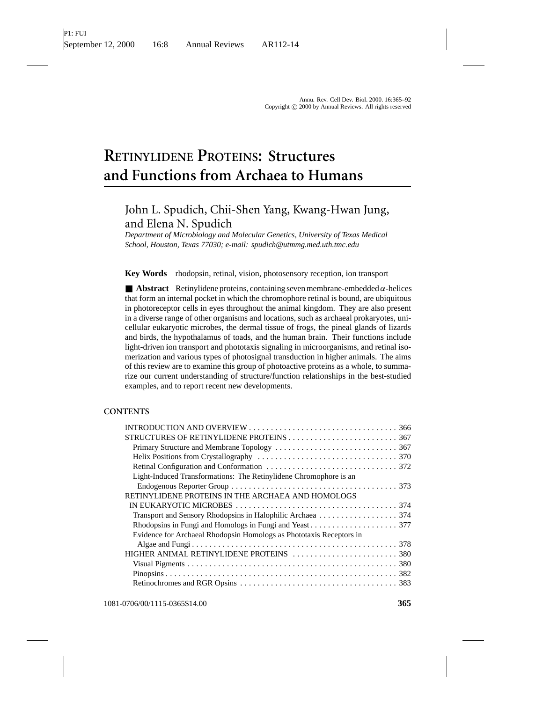# **RETINYLIDENE PROTEINS: Structures and Functions from Archaea to Humans**

# John L. Spudich, Chii-Shen Yang, Kwang-Hwan Jung, and Elena N. Spudich

*Department of Microbiology and Molecular Genetics, University of Texas Medical School, Houston, Texas 77030; e-mail: spudich@utmmg.med.uth.tmc.edu*

**Key Words** rhodopsin, retinal, vision, photosensory reception, ion transport

 $\blacksquare$  **Abstract** Retinylidene proteins, containing seven membrane-embedded  $\alpha$ -helices that form an internal pocket in which the chromophore retinal is bound, are ubiquitous in photoreceptor cells in eyes throughout the animal kingdom. They are also present in a diverse range of other organisms and locations, such as archaeal prokaryotes, unicellular eukaryotic microbes, the dermal tissue of frogs, the pineal glands of lizards and birds, the hypothalamus of toads, and the human brain. Their functions include light-driven ion transport and phototaxis signaling in microorganisms, and retinal isomerization and various types of photosignal transduction in higher animals. The aims of this review are to examine this group of photoactive proteins as a whole, to summarize our current understanding of structure/function relationships in the best-studied examples, and to report recent new developments.

### **CONTENTS**

| Light-Induced Transformations: The Retinylidene Chromophore is an   |
|---------------------------------------------------------------------|
|                                                                     |
| RETINYLIDENE PROTEINS IN THE ARCHAEA AND HOMOLOGS                   |
|                                                                     |
|                                                                     |
|                                                                     |
| Evidence for Archaeal Rhodopsin Homologs as Phototaxis Receptors in |
|                                                                     |
|                                                                     |
|                                                                     |
|                                                                     |
|                                                                     |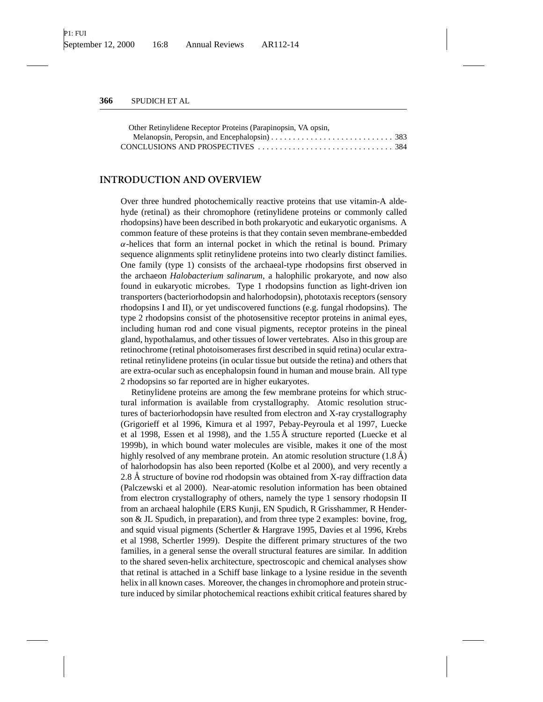| Other Retinylidene Receptor Proteins (Parapinopsin, VA opsin, |  |
|---------------------------------------------------------------|--|
|                                                               |  |
|                                                               |  |

### **INTRODUCTION AND OVERVIEW**

Over three hundred photochemically reactive proteins that use vitamin-A aldehyde (retinal) as their chromophore (retinylidene proteins or commonly called rhodopsins) have been described in both prokaryotic and eukaryotic organisms. A common feature of these proteins is that they contain seven membrane-embedded  $\alpha$ -helices that form an internal pocket in which the retinal is bound. Primary sequence alignments split retinylidene proteins into two clearly distinct families. One family (type 1) consists of the archaeal-type rhodopsins first observed in the archaeon *Halobacterium salinarum*, a halophilic prokaryote, and now also found in eukaryotic microbes. Type 1 rhodopsins function as light-driven ion transporters (bacteriorhodopsin and halorhodopsin), phototaxis receptors (sensory rhodopsins I and II), or yet undiscovered functions (e.g. fungal rhodopsins). The type 2 rhodopsins consist of the photosensitive receptor proteins in animal eyes, including human rod and cone visual pigments, receptor proteins in the pineal gland, hypothalamus, and other tissues of lower vertebrates. Also in this group are retinochrome (retinal photoisomerases first described in squid retina) ocular extraretinal retinylidene proteins (in ocular tissue but outside the retina) and others that are extra-ocular such as encephalopsin found in human and mouse brain. All type 2 rhodopsins so far reported are in higher eukaryotes.

Retinylidene proteins are among the few membrane proteins for which structural information is available from crystallography. Atomic resolution structures of bacteriorhodopsin have resulted from electron and X-ray crystallography (Grigorieff et al 1996, Kimura et al 1997, Pebay-Peyroula et al 1997, Luecke et al 1998, Essen et al 1998), and the  $1.55 \text{ Å}$  structure reported (Luecke et al 1999b), in which bound water molecules are visible, makes it one of the most highly resolved of any membrane protein. An atomic resolution structure  $(1.8 \text{ Å})$ of halorhodopsin has also been reported (Kolbe et al 2000), and very recently a 2.8 Å structure of bovine rod rhodopsin was obtained from X-ray diffraction data (Palczewski et al 2000). Near-atomic resolution information has been obtained from electron crystallography of others, namely the type 1 sensory rhodopsin II from an archaeal halophile (ERS Kunji, EN Spudich, R Grisshammer, R Henderson & JL Spudich, in preparation), and from three type 2 examples: bovine, frog, and squid visual pigments (Schertler & Hargrave 1995, Davies et al 1996, Krebs et al 1998, Schertler 1999). Despite the different primary structures of the two families, in a general sense the overall structural features are similar. In addition to the shared seven-helix architecture, spectroscopic and chemical analyses show that retinal is attached in a Schiff base linkage to a lysine residue in the seventh helix in all known cases. Moreover, the changes in chromophore and protein structure induced by similar photochemical reactions exhibit critical features shared by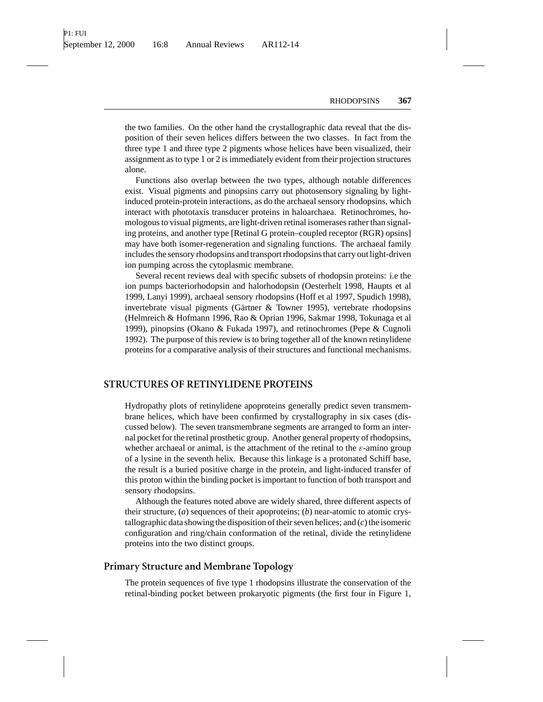the two families. On the other hand the crystallographic data reveal that the disposition of their seven helices differs between the two classes. In fact from the three type 1 and three type 2 pigments whose helices have been visualized, their assignment as to type 1 or 2 is immediately evident from their projection structures alone.

Functions also overlap between the two types, although notable differences exist. Visual pigments and pinopsins carry out photosensory signaling by lightinduced protein-protein interactions, as do the archaeal sensory rhodopsins, which interact with phototaxis transducer proteins in haloarchaea. Retinochromes, homologous to visual pigments, are light-driven retinal isomerases rather than signaling proteins, and another type [Retinal G protein–coupled receptor (RGR) opsins] may have both isomer-regeneration and signaling functions. The archaeal family includes the sensory rhodopsins and transport rhodopsins that carry out light-driven ion pumping across the cytoplasmic membrane.

Several recent reviews deal with specific subsets of rhodopsin proteins: i.e the ion pumps bacteriorhodopsin and halorhodopsin (Oesterhelt 1998, Haupts et al 1999, Lanyi 1999), archaeal sensory rhodopsins (Hoff et al 1997, Spudich 1998), invertebrate visual pigments (Gärtner  $\&$  Towner 1995), vertebrate rhodopsins (Helmreich & Hofmann 1996, Rao & Oprian 1996, Sakmar 1998, Tokunaga et al 1999), pinopsins (Okano & Fukada 1997), and retinochromes (Pepe & Cugnoli 1992). The purpose of this review is to bring together all of the known retinylidene proteins for a comparative analysis of their structures and functional mechanisms.

## **STRUCTURES OF RETINYLIDENE PROTEINS**

Hydropathy plots of retinylidene apoproteins generally predict seven transmembrane helices, which have been confirmed by crystallography in six cases (discussed below). The seven transmembrane segments are arranged to form an internal pocket for the retinal prosthetic group. Another general property of rhodopsins, whether archaeal or animal, is the attachment of the retinal to the  $\varepsilon$ -amino group of a lysine in the seventh helix. Because this linkage is a protonated Schiff base, the result is a buried positive charge in the protein, and light-induced transfer of this proton within the binding pocket is important to function of both transport and sensory rhodopsins.

Although the features noted above are widely shared, three different aspects of their structure, (*a*) sequences of their apoproteins; (*b*) near-atomic to atomic crystallographic data showing the disposition of their seven helices; and (*c*) the isomeric configuration and ring/chain conformation of the retinal, divide the retinylidene proteins into the two distinct groups.

## **Primary Structure and Membrane Topology**

The protein sequences of five type 1 rhodopsins illustrate the conservation of the retinal-binding pocket between prokaryotic pigments (the first four in Figure 1,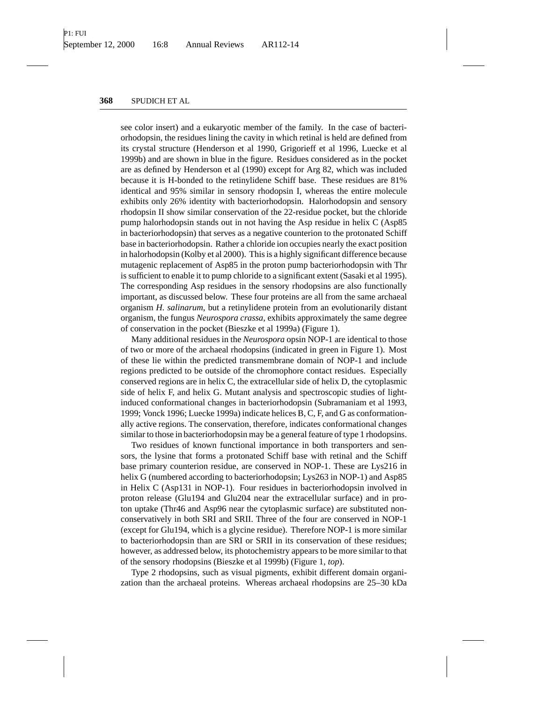see color insert) and a eukaryotic member of the family. In the case of bacteriorhodopsin, the residues lining the cavity in which retinal is held are defined from its crystal structure (Henderson et al 1990, Grigorieff et al 1996, Luecke et al 1999b) and are shown in blue in the figure. Residues considered as in the pocket are as defined by Henderson et al (1990) except for Arg 82, which was included because it is H-bonded to the retinylidene Schiff base. These residues are 81% identical and 95% similar in sensory rhodopsin I, whereas the entire molecule exhibits only 26% identity with bacteriorhodopsin. Halorhodopsin and sensory rhodopsin II show similar conservation of the 22-residue pocket, but the chloride pump halorhodopsin stands out in not having the Asp residue in helix C (Asp85 in bacteriorhodopsin) that serves as a negative counterion to the protonated Schiff base in bacteriorhodopsin. Rather a chloride ion occupies nearly the exact position in halorhodopsin (Kolby et al 2000). This is a highly significant difference because mutagenic replacement of Asp85 in the proton pump bacteriorhodopsin with Thr is sufficient to enable it to pump chloride to a significant extent (Sasaki et al 1995). The corresponding Asp residues in the sensory rhodopsins are also functionally important, as discussed below. These four proteins are all from the same archaeal organism *H. salinarum*, but a retinylidene protein from an evolutionarily distant organism, the fungus *Neurospora crassa*, exhibits approximately the same degree of conservation in the pocket (Bieszke et al 1999a) (Figure 1).

Many additional residues in the *Neurospora* opsin NOP-1 are identical to those of two or more of the archaeal rhodopsins (indicated in green in Figure 1). Most of these lie within the predicted transmembrane domain of NOP-1 and include regions predicted to be outside of the chromophore contact residues. Especially conserved regions are in helix C, the extracellular side of helix D, the cytoplasmic side of helix F, and helix G. Mutant analysis and spectroscopic studies of lightinduced conformational changes in bacteriorhodopsin (Subramaniam et al 1993, 1999; Vonck 1996; Luecke 1999a) indicate helices B, C, F, and G as conformationally active regions. The conservation, therefore, indicates conformational changes similar to those in bacteriorhodopsin may be a general feature of type 1 rhodopsins.

Two residues of known functional importance in both transporters and sensors, the lysine that forms a protonated Schiff base with retinal and the Schiff base primary counterion residue, are conserved in NOP-1. These are Lys216 in helix G (numbered according to bacteriorhodopsin; Lys263 in NOP-1) and Asp85 in Helix C (Asp131 in NOP-1). Four residues in bacteriorhodopsin involved in proton release (Glu194 and Glu204 near the extracellular surface) and in proton uptake (Thr46 and Asp96 near the cytoplasmic surface) are substituted nonconservatively in both SRI and SRII. Three of the four are conserved in NOP-1 (except for Glu194, which is a glycine residue). Therefore NOP-1 is more similar to bacteriorhodopsin than are SRI or SRII in its conservation of these residues; however, as addressed below, its photochemistry appears to be more similar to that of the sensory rhodopsins (Bieszke et al 1999b) (Figure 1, *top*).

Type 2 rhodopsins, such as visual pigments, exhibit different domain organization than the archaeal proteins. Whereas archaeal rhodopsins are 25–30 kDa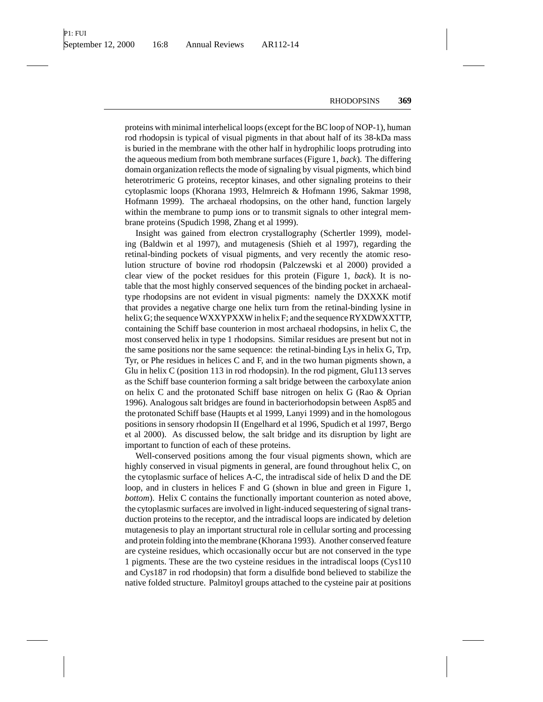proteins with minimal interhelical loops (except for the BC loop of NOP-1), human rod rhodopsin is typical of visual pigments in that about half of its 38-kDa mass is buried in the membrane with the other half in hydrophilic loops protruding into the aqueous medium from both membrane surfaces (Figure 1, *back*). The differing domain organization reflects the mode of signaling by visual pigments, which bind heterotrimeric G proteins, receptor kinases, and other signaling proteins to their cytoplasmic loops (Khorana 1993, Helmreich & Hofmann 1996, Sakmar 1998, Hofmann 1999). The archaeal rhodopsins, on the other hand, function largely within the membrane to pump ions or to transmit signals to other integral membrane proteins (Spudich 1998, Zhang et al 1999).

Insight was gained from electron crystallography (Schertler 1999), modeling (Baldwin et al 1997), and mutagenesis (Shieh et al 1997), regarding the retinal-binding pockets of visual pigments, and very recently the atomic resolution structure of bovine rod rhodopsin (Palczewski et al 2000) provided a clear view of the pocket residues for this protein (Figure 1, *back*). It is notable that the most highly conserved sequences of the binding pocket in archaealtype rhodopsins are not evident in visual pigments: namely the DXXXK motif that provides a negative charge one helix turn from the retinal-binding lysine in helix G; the sequence WXXYPXXW in helix F; and the sequence RYXDWXXTTP, containing the Schiff base counterion in most archaeal rhodopsins, in helix C, the most conserved helix in type 1 rhodopsins. Similar residues are present but not in the same positions nor the same sequence: the retinal-binding Lys in helix G, Trp, Tyr, or Phe residues in helices C and F, and in the two human pigments shown, a Glu in helix C (position 113 in rod rhodopsin). In the rod pigment, Glu113 serves as the Schiff base counterion forming a salt bridge between the carboxylate anion on helix C and the protonated Schiff base nitrogen on helix G (Rao & Oprian 1996). Analogous salt bridges are found in bacteriorhodopsin between Asp85 and the protonated Schiff base (Haupts et al 1999, Lanyi 1999) and in the homologous positions in sensory rhodopsin II (Engelhard et al 1996, Spudich et al 1997, Bergo et al 2000). As discussed below, the salt bridge and its disruption by light are important to function of each of these proteins.

Well-conserved positions among the four visual pigments shown, which are highly conserved in visual pigments in general, are found throughout helix C, on the cytoplasmic surface of helices A-C, the intradiscal side of helix D and the DE loop, and in clusters in helices F and G (shown in blue and green in Figure 1, *bottom*). Helix C contains the functionally important counterion as noted above, the cytoplasmic surfaces are involved in light-induced sequestering of signal transduction proteins to the receptor, and the intradiscal loops are indicated by deletion mutagenesis to play an important structural role in cellular sorting and processing and protein folding into the membrane (Khorana 1993). Another conserved feature are cysteine residues, which occasionally occur but are not conserved in the type 1 pigments. These are the two cysteine residues in the intradiscal loops (Cys110 and Cys187 in rod rhodopsin) that form a disulfide bond believed to stabilize the native folded structure. Palmitoyl groups attached to the cysteine pair at positions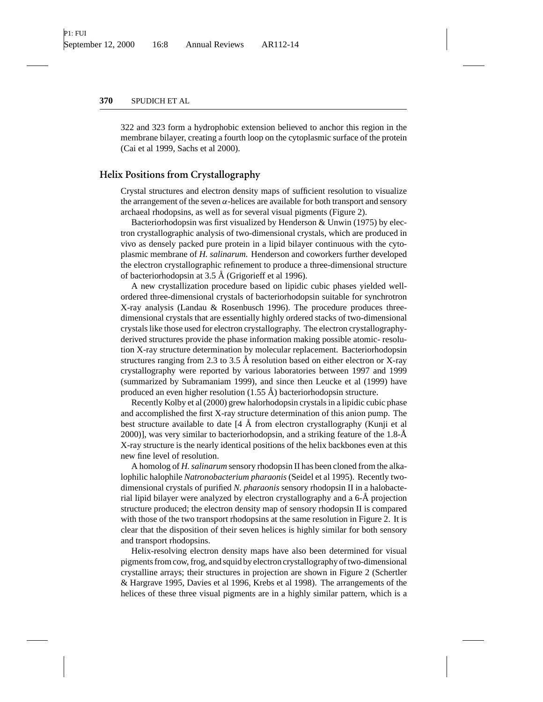322 and 323 form a hydrophobic extension believed to anchor this region in the membrane bilayer, creating a fourth loop on the cytoplasmic surface of the protein (Cai et al 1999, Sachs et al 2000).

### **Helix Positions from Crystallography**

Crystal structures and electron density maps of sufficient resolution to visualize the arrangement of the seven  $\alpha$ -helices are available for both transport and sensory archaeal rhodopsins, as well as for several visual pigments (Figure 2).

Bacteriorhodopsin was first visualized by Henderson & Unwin (1975) by electron crystallographic analysis of two-dimensional crystals, which are produced in vivo as densely packed pure protein in a lipid bilayer continuous with the cytoplasmic membrane of *H. salinarum*. Henderson and coworkers further developed the electron crystallographic refinement to produce a three-dimensional structure of bacteriorhodopsin at  $3.5 \text{ Å}$  (Grigorieff et al 1996).

A new crystallization procedure based on lipidic cubic phases yielded wellordered three-dimensional crystals of bacteriorhodopsin suitable for synchrotron X-ray analysis (Landau & Rosenbusch 1996). The procedure produces threedimensional crystals that are essentially highly ordered stacks of two-dimensional crystals like those used for electron crystallography. The electron crystallographyderived structures provide the phase information making possible atomic- resolution X-ray structure determination by molecular replacement. Bacteriorhodopsin structures ranging from 2.3 to 3.5 Å resolution based on either electron or X-ray crystallography were reported by various laboratories between 1997 and 1999 (summarized by Subramaniam 1999), and since then Leucke et al (1999) have produced an even higher resolution  $(1.55 \text{ Å})$  bacteriorhodopsin structure.

Recently Kolby et al (2000) grew halorhodopsin crystals in a lipidic cubic phase and accomplished the first X-ray structure determination of this anion pump. The best structure available to date  $[4 \text{ Å}$  from electron crystallography (Kunji et al 2000)], was very similar to bacteriorhodopsin, and a striking feature of the 1.8- $\AA$ X-ray structure is the nearly identical positions of the helix backbones even at this new fine level of resolution.

A homolog of *H. salinarum* sensory rhodopsin II has been cloned from the alkalophilic halophile *Natronobacterium pharaonis* (Seidel et al 1995). Recently twodimensional crystals of purified *N. pharaonis* sensory rhodopsin II in a halobacterial lipid bilayer were analyzed by electron crystallography and a 6-Å projection structure produced; the electron density map of sensory rhodopsin II is compared with those of the two transport rhodopsins at the same resolution in Figure 2. It is clear that the disposition of their seven helices is highly similar for both sensory and transport rhodopsins.

Helix-resolving electron density maps have also been determined for visual pigments from cow, frog, and squid by electron crystallography of two-dimensional crystalline arrays; their structures in projection are shown in Figure 2 (Schertler & Hargrave 1995, Davies et al 1996, Krebs et al 1998). The arrangements of the helices of these three visual pigments are in a highly similar pattern, which is a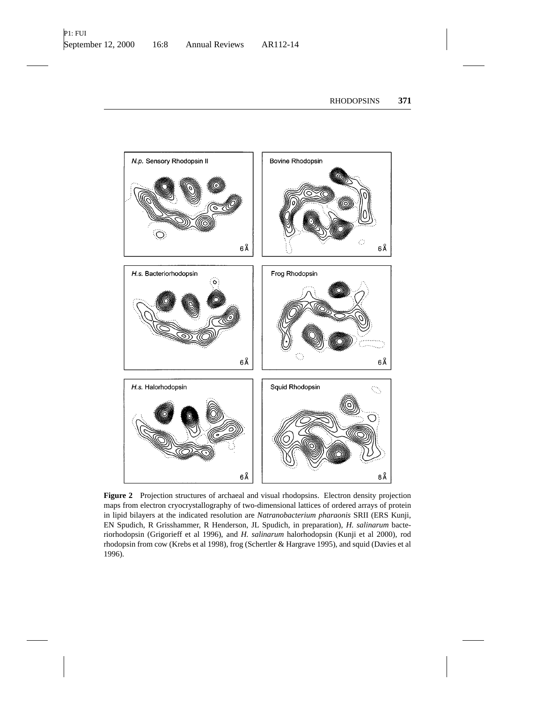

**Figure 2** Projection structures of archaeal and visual rhodopsins. Electron density projection maps from electron cryocrystallography of two-dimensional lattices of ordered arrays of protein in lipid bilayers at the indicated resolution are *Natranobacterium pharaonis* SRII (ERS Kunji, EN Spudich, R Grisshammer, R Henderson, JL Spudich, in preparation), *H. salinarum* bacteriorhodopsin (Grigorieff et al 1996), and *H. salinarum* halorhodopsin (Kunji et al 2000), rod rhodopsin from cow (Krebs et al 1998), frog (Schertler & Hargrave 1995), and squid (Davies et al 1996).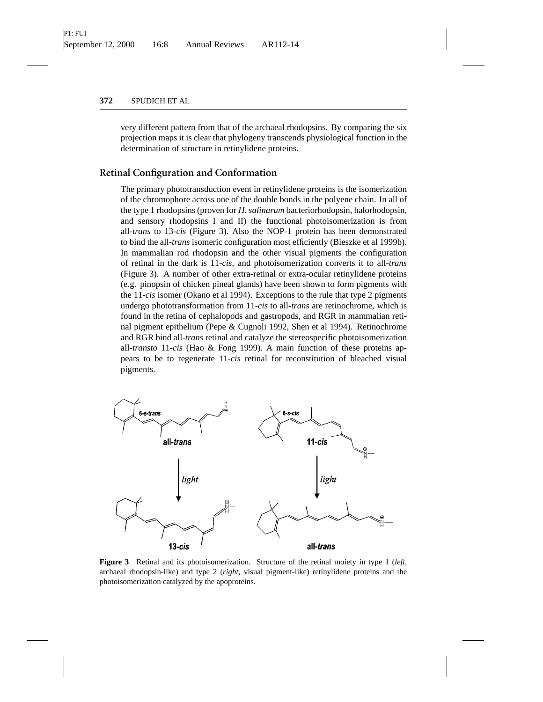very different pattern from that of the archaeal rhodopsins. By comparing the six projection maps it is clear that phylogeny transcends physiological function in the determination of structure in retinylidene proteins.

# **Retinal Configuration and Conformation**

The primary phototransduction event in retinylidene proteins is the isomerization of the chromophore across one of the double bonds in the polyene chain. In all of the type 1 rhodopsins (proven for *H. salinarum* bacteriorhodopsin, halorhodopsin, and sensory rhodopsins I and II) the functional photoisomerization is from all-*trans* to 13-*cis* (Figure 3). Also the NOP-1 protein has been demonstrated to bind the all-*trans* isomeric configuration most efficiently (Bieszke et al 1999b). In mammalian rod rhodopsin and the other visual pigments the configuration of retinal in the dark is 11-*cis*, and photoisomerization converts it to all-*trans* (Figure 3). A number of other extra-retinal or extra-ocular retinylidene proteins (e.g. pinopsin of chicken pineal glands) have been shown to form pigments with the 11-*cis* isomer (Okano et al 1994). Exceptions to the rule that type 2 pigments undergo phototransformation from 11-*cis* to all-*trans* are retinochrome, which is found in the retina of cephalopods and gastropods, and RGR in mammalian retinal pigment epithelium (Pepe & Cugnoli 1992, Shen et al 1994). Retinochrome and RGR bind all-*trans* retinal and catalyze the stereospecific photoisomerization all-*transto* 11-*cis* (Hao & Fong 1999). A main function of these proteins appears to be to regenerate 11-*cis* retinal for reconstitution of bleached visual pigments.



**Figure 3** Retinal and its photoisomerization. Structure of the retinal moiety in type 1 (*left*, archaeal rhodopsin-like) and type 2 (*right*, visual pigment-like) retinylidene proteins and the photoisomerization catalyzed by the apoproteins.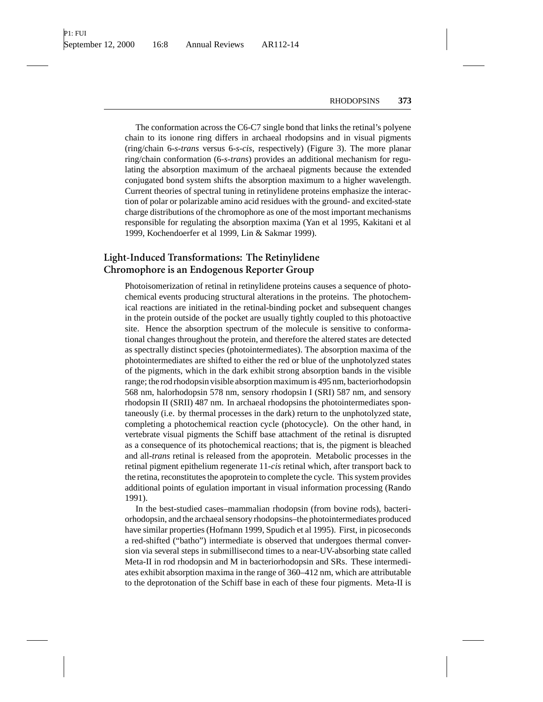The conformation across the C6-C7 single bond that links the retinal's polyene chain to its ionone ring differs in archaeal rhodopsins and in visual pigments (ring/chain 6-*s-trans* versus 6-*s-cis*, respectively) (Figure 3). The more planar ring/chain conformation (6-*s-trans*) provides an additional mechanism for regulating the absorption maximum of the archaeal pigments because the extended conjugated bond system shifts the absorption maximum to a higher wavelength. Current theories of spectral tuning in retinylidene proteins emphasize the interaction of polar or polarizable amino acid residues with the ground- and excited-state charge distributions of the chromophore as one of the most important mechanisms responsible for regulating the absorption maxima (Yan et al 1995, Kakitani et al 1999, Kochendoerfer et al 1999, Lin & Sakmar 1999).

# **Light-Induced Transformations: The Retinylidene Chromophore is an Endogenous Reporter Group**

Photoisomerization of retinal in retinylidene proteins causes a sequence of photochemical events producing structural alterations in the proteins. The photochemical reactions are initiated in the retinal-binding pocket and subsequent changes in the protein outside of the pocket are usually tightly coupled to this photoactive site. Hence the absorption spectrum of the molecule is sensitive to conformational changes throughout the protein, and therefore the altered states are detected as spectrally distinct species (photointermediates). The absorption maxima of the photointermediates are shifted to either the red or blue of the unphotolyzed states of the pigments, which in the dark exhibit strong absorption bands in the visible range; the rod rhodopsin visible absorption maximum is 495 nm, bacteriorhodopsin 568 nm, halorhodopsin 578 nm, sensory rhodopsin I (SRI) 587 nm, and sensory rhodopsin II (SRII) 487 nm. In archaeal rhodopsins the photointermediates spontaneously (i.e. by thermal processes in the dark) return to the unphotolyzed state, completing a photochemical reaction cycle (photocycle). On the other hand, in vertebrate visual pigments the Schiff base attachment of the retinal is disrupted as a consequence of its photochemical reactions; that is, the pigment is bleached and all-*trans* retinal is released from the apoprotein. Metabolic processes in the retinal pigment epithelium regenerate 11-*cis* retinal which, after transport back to the retina, reconstitutes the apoprotein to complete the cycle. This system provides additional points of egulation important in visual information processing (Rando 1991).

In the best-studied cases–mammalian rhodopsin (from bovine rods), bacteriorhodopsin, and the archaeal sensory rhodopsins–the photointermediates produced have similar properties (Hofmann 1999, Spudich et al 1995). First, in picoseconds a red-shifted ("batho") intermediate is observed that undergoes thermal conversion via several steps in submillisecond times to a near-UV-absorbing state called Meta-II in rod rhodopsin and M in bacteriorhodopsin and SRs. These intermediates exhibit absorption maxima in the range of 360–412 nm, which are attributable to the deprotonation of the Schiff base in each of these four pigments. Meta-II is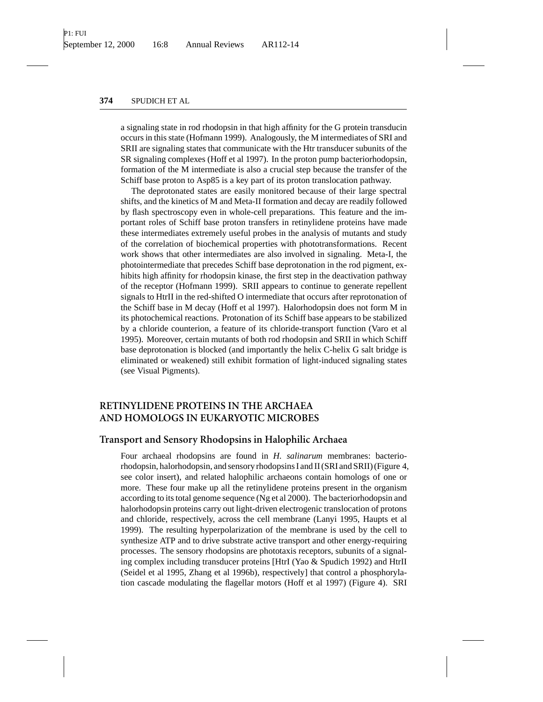a signaling state in rod rhodopsin in that high affinity for the G protein transducin occurs in this state (Hofmann 1999). Analogously, the M intermediates of SRI and SRII are signaling states that communicate with the Htr transducer subunits of the SR signaling complexes (Hoff et al 1997). In the proton pump bacteriorhodopsin, formation of the M intermediate is also a crucial step because the transfer of the Schiff base proton to Asp85 is a key part of its proton translocation pathway.

The deprotonated states are easily monitored because of their large spectral shifts, and the kinetics of M and Meta-II formation and decay are readily followed by flash spectroscopy even in whole-cell preparations. This feature and the important roles of Schiff base proton transfers in retinylidene proteins have made these intermediates extremely useful probes in the analysis of mutants and study of the correlation of biochemical properties with phototransformations. Recent work shows that other intermediates are also involved in signaling. Meta-I, the photointermediate that precedes Schiff base deprotonation in the rod pigment, exhibits high affinity for rhodopsin kinase, the first step in the deactivation pathway of the receptor (Hofmann 1999). SRII appears to continue to generate repellent signals to HtrII in the red-shifted O intermediate that occurs after reprotonation of the Schiff base in M decay (Hoff et al 1997). Halorhodopsin does not form M in its photochemical reactions. Protonation of its Schiff base appears to be stabilized by a chloride counterion, a feature of its chloride-transport function (Varo et al 1995). Moreover, certain mutants of both rod rhodopsin and SRII in which Schiff base deprotonation is blocked (and importantly the helix C-helix G salt bridge is eliminated or weakened) still exhibit formation of light-induced signaling states (see Visual Pigments).

# **RETINYLIDENE PROTEINS IN THE ARCHAEA AND HOMOLOGS IN EUKARYOTIC MICROBES**

## **Transport and Sensory Rhodopsins in Halophilic Archaea**

Four archaeal rhodopsins are found in *H. salinarum* membranes: bacteriorhodopsin, halorhodopsin, and sensory rhodopsins I and II (SRI and SRII) (Figure 4, see color insert), and related halophilic archaeons contain homologs of one or more. These four make up all the retinylidene proteins present in the organism according to its total genome sequence (Ng et al 2000). The bacteriorhodopsin and halorhodopsin proteins carry out light-driven electrogenic translocation of protons and chloride, respectively, across the cell membrane (Lanyi 1995, Haupts et al 1999). The resulting hyperpolarization of the membrane is used by the cell to synthesize ATP and to drive substrate active transport and other energy-requiring processes. The sensory rhodopsins are phototaxis receptors, subunits of a signaling complex including transducer proteins [HtrI (Yao & Spudich 1992) and HtrII (Seidel et al 1995, Zhang et al 1996b), respectively] that control a phosphorylation cascade modulating the flagellar motors (Hoff et al 1997) (Figure 4). SRI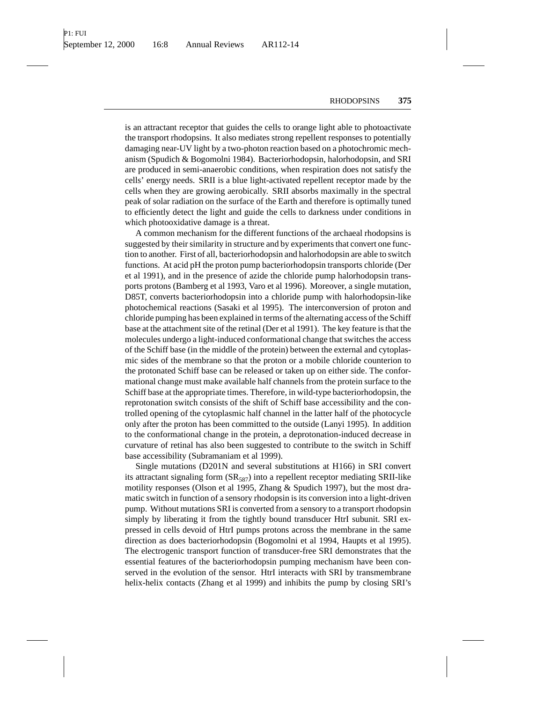is an attractant receptor that guides the cells to orange light able to photoactivate the transport rhodopsins. It also mediates strong repellent responses to potentially damaging near-UV light by a two-photon reaction based on a photochromic mechanism (Spudich & Bogomolni 1984). Bacteriorhodopsin, halorhodopsin, and SRI are produced in semi-anaerobic conditions, when respiration does not satisfy the cells' energy needs. SRII is a blue light-activated repellent receptor made by the cells when they are growing aerobically. SRII absorbs maximally in the spectral peak of solar radiation on the surface of the Earth and therefore is optimally tuned to efficiently detect the light and guide the cells to darkness under conditions in which photooxidative damage is a threat.

A common mechanism for the different functions of the archaeal rhodopsins is suggested by their similarity in structure and by experiments that convert one function to another. First of all, bacteriorhodopsin and halorhodopsin are able to switch functions. At acid pH the proton pump bacteriorhodopsin transports chloride (Der et al 1991), and in the presence of azide the chloride pump halorhodopsin transports protons (Bamberg et al 1993, Varo et al 1996). Moreover, a single mutation, D85T, converts bacteriorhodopsin into a chloride pump with halorhodopsin-like photochemical reactions (Sasaki et al 1995). The interconversion of proton and chloride pumping has been explained in terms of the alternating access of the Schiff base at the attachment site of the retinal (Der et al 1991). The key feature is that the molecules undergo a light-induced conformational change that switches the access of the Schiff base (in the middle of the protein) between the external and cytoplasmic sides of the membrane so that the proton or a mobile chloride counterion to the protonated Schiff base can be released or taken up on either side. The conformational change must make available half channels from the protein surface to the Schiff base at the appropriate times. Therefore, in wild-type bacteriorhodopsin, the reprotonation switch consists of the shift of Schiff base accessibility and the controlled opening of the cytoplasmic half channel in the latter half of the photocycle only after the proton has been committed to the outside (Lanyi 1995). In addition to the conformational change in the protein, a deprotonation-induced decrease in curvature of retinal has also been suggested to contribute to the switch in Schiff base accessibility (Subramaniam et al 1999).

Single mutations (D201N and several substitutions at H166) in SRI convert its attractant signaling form  $(SR_{587})$  into a repellent receptor mediating SRII-like motility responses (Olson et al 1995, Zhang & Spudich 1997), but the most dramatic switch in function of a sensory rhodopsin is its conversion into a light-driven pump. Without mutations SRI is converted from a sensory to a transport rhodopsin simply by liberating it from the tightly bound transducer HtrI subunit. SRI expressed in cells devoid of HtrI pumps protons across the membrane in the same direction as does bacteriorhodopsin (Bogomolni et al 1994, Haupts et al 1995). The electrogenic transport function of transducer-free SRI demonstrates that the essential features of the bacteriorhodopsin pumping mechanism have been conserved in the evolution of the sensor. HtrI interacts with SRI by transmembrane helix-helix contacts (Zhang et al 1999) and inhibits the pump by closing SRI's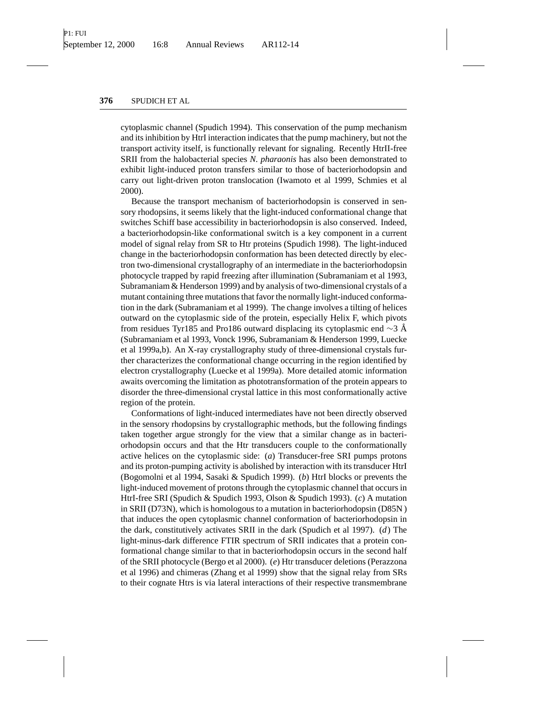cytoplasmic channel (Spudich 1994). This conservation of the pump mechanism and its inhibition by HtrI interaction indicates that the pump machinery, but not the transport activity itself, is functionally relevant for signaling. Recently HtrII-free SRII from the halobacterial species *N. pharaonis* has also been demonstrated to exhibit light-induced proton transfers similar to those of bacteriorhodopsin and carry out light-driven proton translocation (Iwamoto et al 1999, Schmies et al 2000).

Because the transport mechanism of bacteriorhodopsin is conserved in sensory rhodopsins, it seems likely that the light-induced conformational change that switches Schiff base accessibility in bacteriorhodopsin is also conserved. Indeed, a bacteriorhodopsin-like conformational switch is a key component in a current model of signal relay from SR to Htr proteins (Spudich 1998). The light-induced change in the bacteriorhodopsin conformation has been detected directly by electron two-dimensional crystallography of an intermediate in the bacteriorhodopsin photocycle trapped by rapid freezing after illumination (Subramaniam et al 1993, Subramaniam & Henderson 1999) and by analysis of two-dimensional crystals of a mutant containing three mutations that favor the normally light-induced conformation in the dark (Subramaniam et al 1999). The change involves a tilting of helices outward on the cytoplasmic side of the protein, especially Helix F, which pivots from residues Tyr185 and Pro186 outward displacing its cytoplasmic end  $\sim$ 3 Å (Subramaniam et al 1993, Vonck 1996, Subramaniam & Henderson 1999, Luecke et al 1999a,b). An X-ray crystallography study of three-dimensional crystals further characterizes the conformational change occurring in the region identified by electron crystallography (Luecke et al 1999a). More detailed atomic information awaits overcoming the limitation as phototransformation of the protein appears to disorder the three-dimensional crystal lattice in this most conformationally active region of the protein.

Conformations of light-induced intermediates have not been directly observed in the sensory rhodopsins by crystallographic methods, but the following findings taken together argue strongly for the view that a similar change as in bacteriorhodopsin occurs and that the Htr transducers couple to the conformationally active helices on the cytoplasmic side: (*a*) Transducer-free SRI pumps protons and its proton-pumping activity is abolished by interaction with its transducer HtrI (Bogomolni et al 1994, Sasaki & Spudich 1999). (*b*) HtrI blocks or prevents the light-induced movement of protons through the cytoplasmic channel that occurs in HtrI-free SRI (Spudich & Spudich 1993, Olson & Spudich 1993). (*c*) A mutation in SRII (D73N), which is homologous to a mutation in bacteriorhodopsin (D85N ) that induces the open cytoplasmic channel conformation of bacteriorhodopsin in the dark, constitutively activates SRII in the dark (Spudich et al 1997). (*d*) The light-minus-dark difference FTIR spectrum of SRII indicates that a protein conformational change similar to that in bacteriorhodopsin occurs in the second half of the SRII photocycle (Bergo et al 2000). (*e*) Htr transducer deletions (Perazzona et al 1996) and chimeras (Zhang et al 1999) show that the signal relay from SRs to their cognate Htrs is via lateral interactions of their respective transmembrane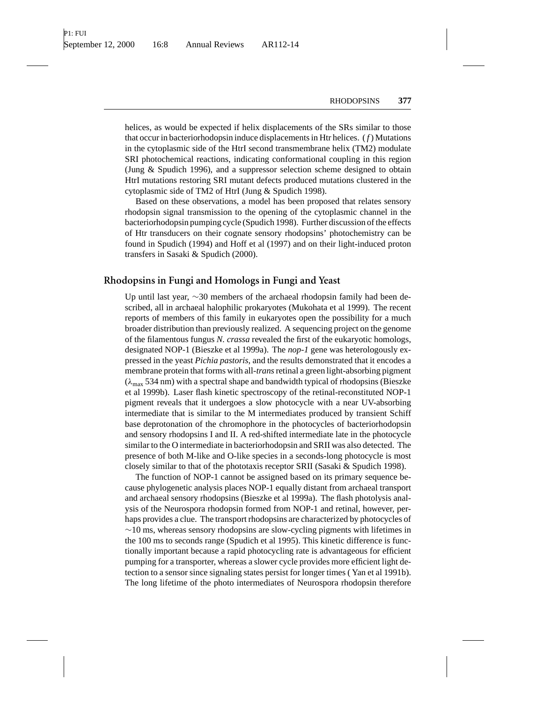helices, as would be expected if helix displacements of the SRs similar to those that occur in bacteriorhodopsin induce displacements in Htr helices. ( *f* ) Mutations in the cytoplasmic side of the HtrI second transmembrane helix (TM2) modulate SRI photochemical reactions, indicating conformational coupling in this region (Jung & Spudich 1996), and a suppressor selection scheme designed to obtain HtrI mutations restoring SRI mutant defects produced mutations clustered in the cytoplasmic side of TM2 of HtrI (Jung & Spudich 1998).

Based on these observations, a model has been proposed that relates sensory rhodopsin signal transmission to the opening of the cytoplasmic channel in the bacteriorhodopsin pumping cycle (Spudich 1998). Further discussion of the effects of Htr transducers on their cognate sensory rhodopsins' photochemistry can be found in Spudich (1994) and Hoff et al (1997) and on their light-induced proton transfers in Sasaki & Spudich (2000).

# **Rhodopsins in Fungi and Homologs in Fungi and Yeast**

Up until last year, ∼30 members of the archaeal rhodopsin family had been described, all in archaeal halophilic prokaryotes (Mukohata et al 1999). The recent reports of members of this family in eukaryotes open the possibility for a much broader distribution than previously realized. A sequencing project on the genome of the filamentous fungus *N. crassa* revealed the first of the eukaryotic homologs, designated NOP-1 (Bieszke et al 1999a). The *nop-1* gene was heterologously expressed in the yeast *Pichia pastoris*, and the results demonstrated that it encodes a membrane protein that forms with all-*trans*retinal a green light-absorbing pigment  $(\lambda_{\text{max}} 534 \text{ nm})$  with a spectral shape and bandwidth typical of rhodopsins (Bieszke et al 1999b). Laser flash kinetic spectroscopy of the retinal-reconstituted NOP-1 pigment reveals that it undergoes a slow photocycle with a near UV-absorbing intermediate that is similar to the M intermediates produced by transient Schiff base deprotonation of the chromophore in the photocycles of bacteriorhodopsin and sensory rhodopsins I and II. A red-shifted intermediate late in the photocycle similar to the O intermediate in bacteriorhodopsin and SRII was also detected. The presence of both M-like and O-like species in a seconds-long photocycle is most closely similar to that of the phototaxis receptor SRII (Sasaki & Spudich 1998).

The function of NOP-1 cannot be assigned based on its primary sequence because phylogenetic analysis places NOP-1 equally distant from archaeal transport and archaeal sensory rhodopsins (Bieszke et al 1999a). The flash photolysis analysis of the Neurospora rhodopsin formed from NOP-1 and retinal, however, perhaps provides a clue. The transport rhodopsins are characterized by photocycles of  $~\sim$ 10 ms, whereas sensory rhodopsins are slow-cycling pigments with lifetimes in the 100 ms to seconds range (Spudich et al 1995). This kinetic difference is functionally important because a rapid photocycling rate is advantageous for efficient pumping for a transporter, whereas a slower cycle provides more efficient light detection to a sensor since signaling states persist for longer times ( Yan et al 1991b). The long lifetime of the photo intermediates of Neurospora rhodopsin therefore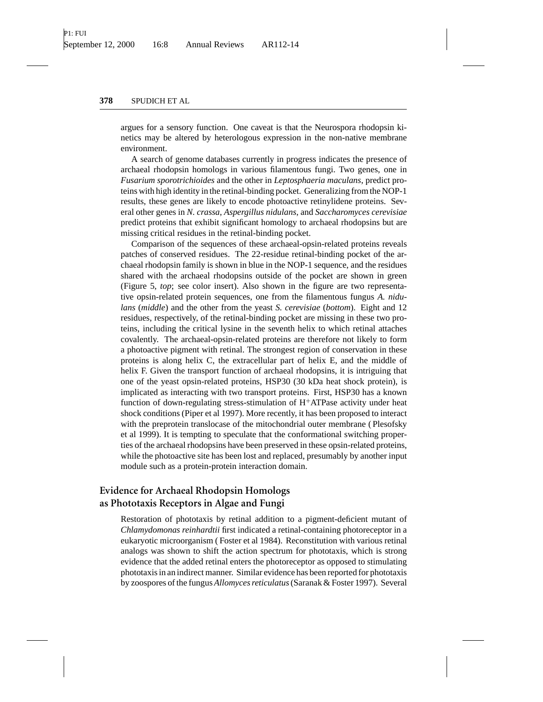argues for a sensory function. One caveat is that the Neurospora rhodopsin kinetics may be altered by heterologous expression in the non-native membrane environment.

A search of genome databases currently in progress indicates the presence of archaeal rhodopsin homologs in various filamentous fungi. Two genes, one in *Fusarium sporotrichioides* and the other in *Leptosphaeria maculans*, predict proteins with high identity in the retinal-binding pocket. Generalizing from the NOP-1 results, these genes are likely to encode photoactive retinylidene proteins. Several other genes in *N. crassa*, *Aspergillus nidulans*, and *Saccharomyces cerevisiae* predict proteins that exhibit significant homology to archaeal rhodopsins but are missing critical residues in the retinal-binding pocket.

Comparison of the sequences of these archaeal-opsin-related proteins reveals patches of conserved residues. The 22-residue retinal-binding pocket of the archaeal rhodopsin family is shown in blue in the NOP-1 sequence, and the residues shared with the archaeal rhodopsins outside of the pocket are shown in green (Figure 5, *top*; see color insert). Also shown in the figure are two representative opsin-related protein sequences, one from the filamentous fungus *A. nidulans* (*middle*) and the other from the yeast *S. cerevisiae* (*bottom*). Eight and 12 residues, respectively, of the retinal-binding pocket are missing in these two proteins, including the critical lysine in the seventh helix to which retinal attaches covalently. The archaeal-opsin-related proteins are therefore not likely to form a photoactive pigment with retinal. The strongest region of conservation in these proteins is along helix C, the extracellular part of helix E, and the middle of helix F. Given the transport function of archaeal rhodopsins, it is intriguing that one of the yeast opsin-related proteins, HSP30 (30 kDa heat shock protein), is implicated as interacting with two transport proteins. First, HSP30 has a known function of down-regulating stress-stimulation of  $H^+ATP$ ase activity under heat shock conditions (Piper et al 1997). More recently, it has been proposed to interact with the preprotein translocase of the mitochondrial outer membrane ( Plesofsky et al 1999). It is tempting to speculate that the conformational switching properties of the archaeal rhodopsins have been preserved in these opsin-related proteins, while the photoactive site has been lost and replaced, presumably by another input module such as a protein-protein interaction domain.

# **Evidence for Archaeal Rhodopsin Homologs as Phototaxis Receptors in Algae and Fungi**

Restoration of phototaxis by retinal addition to a pigment-deficient mutant of *Chlamydomonas reinhardtii* first indicated a retinal-containing photoreceptor in a eukaryotic microorganism ( Foster et al 1984). Reconstitution with various retinal analogs was shown to shift the action spectrum for phototaxis, which is strong evidence that the added retinal enters the photoreceptor as opposed to stimulating phototaxis in an indirect manner. Similar evidence has been reported for phototaxis by zoospores of the fungus *Allomyces reticulatus*(Saranak & Foster 1997). Several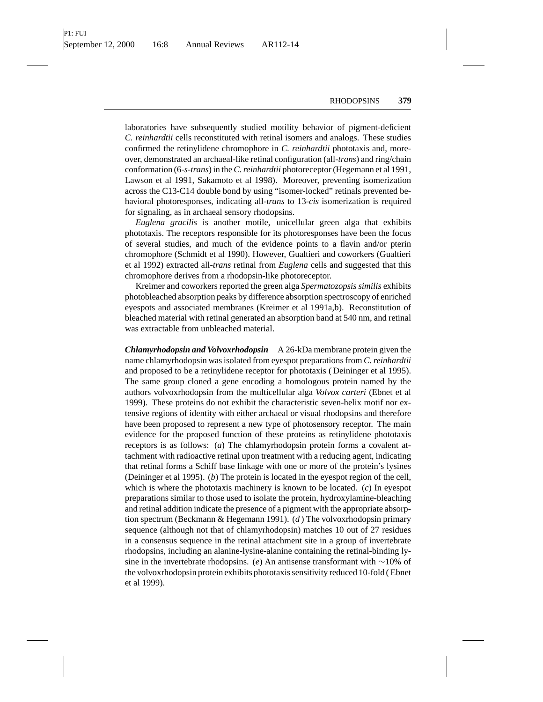laboratories have subsequently studied motility behavior of pigment-deficient *C. reinhardtii* cells reconstituted with retinal isomers and analogs. These studies confirmed the retinylidene chromophore in *C. reinhardtii* phototaxis and, moreover, demonstrated an archaeal-like retinal configuration (all-*trans*) and ring/chain conformation (6-*s-trans*) in the *C. reinhardtii* photoreceptor (Hegemann et al 1991, Lawson et al 1991, Sakamoto et al 1998). Moreover, preventing isomerization across the C13-C14 double bond by using "isomer-locked" retinals prevented behavioral photoresponses, indicating all-*trans* to 13-*cis* isomerization is required for signaling, as in archaeal sensory rhodopsins.

*Euglena gracilis* is another motile, unicellular green alga that exhibits phototaxis. The receptors responsible for its photoresponses have been the focus of several studies, and much of the evidence points to a flavin and/or pterin chromophore (Schmidt et al 1990). However, Gualtieri and coworkers (Gualtieri et al 1992) extracted all-*trans* retinal from *Euglena* cells and suggested that this chromophore derives from a rhodopsin-like photoreceptor.

Kreimer and coworkers reported the green alga *Spermatozopsis similis* exhibits photobleached absorption peaks by difference absorption spectroscopy of enriched eyespots and associated membranes (Kreimer et al 1991a,b). Reconstitution of bleached material with retinal generated an absorption band at 540 nm, and retinal was extractable from unbleached material.

*Chlamyrhodopsin and Volvoxrhodopsin* A 26-kDa membrane protein given the name chlamyrhodopsin was isolated from eyespot preparations from *C. reinhardtii* and proposed to be a retinylidene receptor for phototaxis ( Deininger et al 1995). The same group cloned a gene encoding a homologous protein named by the authors volvoxrhodopsin from the multicellular alga *Volvox carteri* (Ebnet et al 1999). These proteins do not exhibit the characteristic seven-helix motif nor extensive regions of identity with either archaeal or visual rhodopsins and therefore have been proposed to represent a new type of photosensory receptor. The main evidence for the proposed function of these proteins as retinylidene phototaxis receptors is as follows: (*a*) The chlamyrhodopsin protein forms a covalent attachment with radioactive retinal upon treatment with a reducing agent, indicating that retinal forms a Schiff base linkage with one or more of the protein's lysines (Deininger et al 1995). (*b*) The protein is located in the eyespot region of the cell, which is where the phototaxis machinery is known to be located. (*c*) In eyespot preparations similar to those used to isolate the protein, hydroxylamine-bleaching and retinal addition indicate the presence of a pigment with the appropriate absorption spectrum (Beckmann & Hegemann 1991). (*d* ) The volvoxrhodopsin primary sequence (although not that of chlamyrhodopsin) matches 10 out of 27 residues in a consensus sequence in the retinal attachment site in a group of invertebrate rhodopsins, including an alanine-lysine-alanine containing the retinal-binding lysine in the invertebrate rhodopsins. (*e*) An antisense transformant with ∼10% of the volvoxrhodopsin protein exhibits phototaxis sensitivity reduced 10-fold ( Ebnet et al 1999).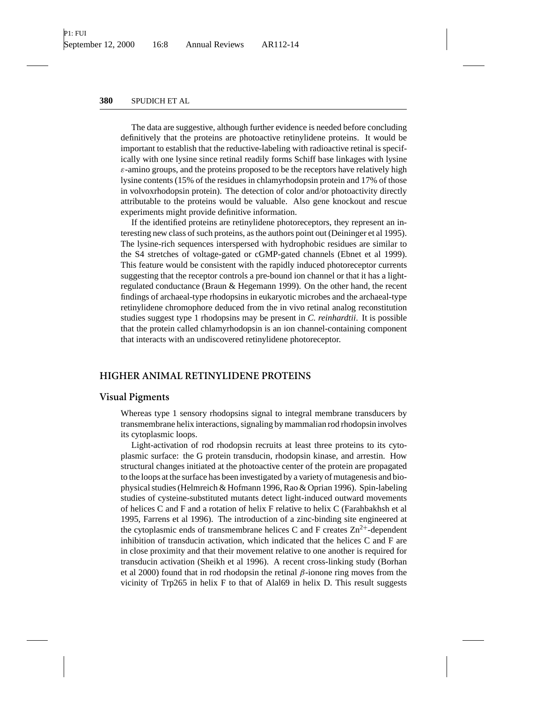The data are suggestive, although further evidence is needed before concluding definitively that the proteins are photoactive retinylidene proteins. It would be important to establish that the reductive-labeling with radioactive retinal is specifically with one lysine since retinal readily forms Schiff base linkages with lysine  $\varepsilon$ -amino groups, and the proteins proposed to be the receptors have relatively high lysine contents (15% of the residues in chlamyrhodopsin protein and 17% of those in volvoxrhodopsin protein). The detection of color and/or photoactivity directly attributable to the proteins would be valuable. Also gene knockout and rescue experiments might provide definitive information.

If the identified proteins are retinylidene photoreceptors, they represent an interesting new class of such proteins, as the authors point out (Deininger et al 1995). The lysine-rich sequences interspersed with hydrophobic residues are similar to the S4 stretches of voltage-gated or cGMP-gated channels (Ebnet et al 1999). This feature would be consistent with the rapidly induced photoreceptor currents suggesting that the receptor controls a pre-bound ion channel or that it has a lightregulated conductance (Braun & Hegemann 1999). On the other hand, the recent findings of archaeal-type rhodopsins in eukaryotic microbes and the archaeal-type retinylidene chromophore deduced from the in vivo retinal analog reconstitution studies suggest type 1 rhodopsins may be present in *C. reinhardtii*. It is possible that the protein called chlamyrhodopsin is an ion channel-containing component that interacts with an undiscovered retinylidene photoreceptor.

# **HIGHER ANIMAL RETINYLIDENE PROTEINS**

### **Visual Pigments**

Whereas type 1 sensory rhodopsins signal to integral membrane transducers by transmembrane helix interactions, signaling by mammalian rod rhodopsin involves its cytoplasmic loops.

Light-activation of rod rhodopsin recruits at least three proteins to its cytoplasmic surface: the G protein transducin, rhodopsin kinase, and arrestin. How structural changes initiated at the photoactive center of the protein are propagated to the loops at the surface has been investigated by a variety of mutagenesis and biophysical studies (Helmreich & Hofmann 1996, Rao & Oprian 1996). Spin-labeling studies of cysteine-substituted mutants detect light-induced outward movements of helices C and F and a rotation of helix F relative to helix C (Farahbakhsh et al 1995, Farrens et al 1996). The introduction of a zinc-binding site engineered at the cytoplasmic ends of transmembrane helices C and F creates  $\text{Zn}^{2+}$ -dependent inhibition of transducin activation, which indicated that the helices C and F are in close proximity and that their movement relative to one another is required for transducin activation (Sheikh et al 1996). A recent cross-linking study (Borhan et al 2000) found that in rod rhodopsin the retinal  $\beta$ -ionone ring moves from the vicinity of Trp265 in helix F to that of Alal69 in helix D. This result suggests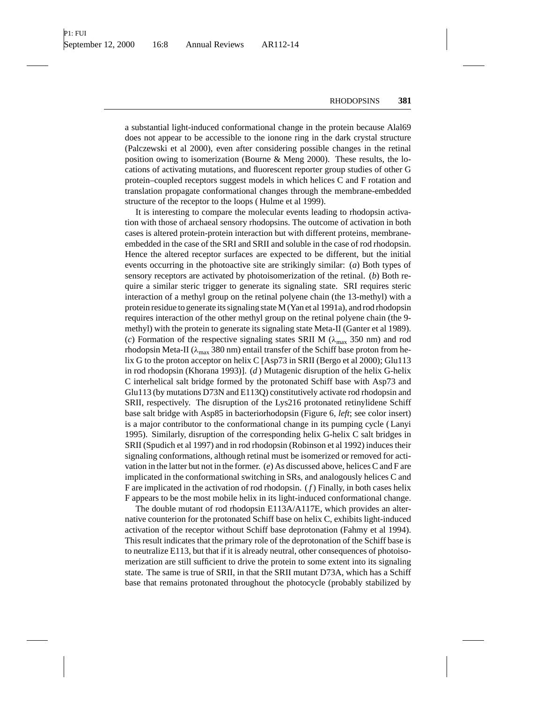a substantial light-induced conformational change in the protein because Alal69 does not appear to be accessible to the ionone ring in the dark crystal structure (Palczewski et al 2000), even after considering possible changes in the retinal position owing to isomerization (Bourne & Meng 2000). These results, the locations of activating mutations, and fluorescent reporter group studies of other G protein–coupled receptors suggest models in which helices C and F rotation and translation propagate conformational changes through the membrane-embedded structure of the receptor to the loops ( Hulme et al 1999).

It is interesting to compare the molecular events leading to rhodopsin activation with those of archaeal sensory rhodopsins. The outcome of activation in both cases is altered protein-protein interaction but with different proteins, membraneembedded in the case of the SRI and SRII and soluble in the case of rod rhodopsin. Hence the altered receptor surfaces are expected to be different, but the initial events occurring in the photoactive site are strikingly similar: (*a*) Both types of sensory receptors are activated by photoisomerization of the retinal. (*b*) Both require a similar steric trigger to generate its signaling state. SRI requires steric interaction of a methyl group on the retinal polyene chain (the 13-methyl) with a protein residue to generate its signaling state M (Yan et al 1991a), and rod rhodopsin requires interaction of the other methyl group on the retinal polyene chain (the 9 methyl) with the protein to generate its signaling state Meta-II (Ganter et al 1989). (*c*) Formation of the respective signaling states SRII M ( $\lambda_{\text{max}}$  350 nm) and rod rhodopsin Meta-II ( $\lambda_{\text{max}}$  380 nm) entail transfer of the Schiff base proton from helix G to the proton acceptor on helix C [Asp73 in SRII (Bergo et al 2000); Glu113 in rod rhodopsin (Khorana 1993)]. (*d* ) Mutagenic disruption of the helix G-helix C interhelical salt bridge formed by the protonated Schiff base with Asp73 and Glu113 (by mutations D73N and E113Q) constitutively activate rod rhodopsin and SRII, respectively. The disruption of the Lys216 protonated retinylidene Schiff base salt bridge with Asp85 in bacteriorhodopsin (Figure 6, *left*; see color insert) is a major contributor to the conformational change in its pumping cycle ( Lanyi 1995). Similarly, disruption of the corresponding helix G-helix C salt bridges in SRII (Spudich et al 1997) and in rod rhodopsin (Robinson et al 1992) induces their signaling conformations, although retinal must be isomerized or removed for activation in the latter but not in the former. (*e*) As discussed above, helices C and F are implicated in the conformational switching in SRs, and analogously helices C and F are implicated in the activation of rod rhodopsin. ( *f* ) Finally, in both cases helix F appears to be the most mobile helix in its light-induced conformational change.

The double mutant of rod rhodopsin E113A/A117E, which provides an alternative counterion for the protonated Schiff base on helix C, exhibits light-induced activation of the receptor without Schiff base deprotonation (Fahmy et al 1994). This result indicates that the primary role of the deprotonation of the Schiff base is to neutralize E113, but that if it is already neutral, other consequences of photoisomerization are still sufficient to drive the protein to some extent into its signaling state. The same is true of SRII, in that the SRII mutant D73A, which has a Schiff base that remains protonated throughout the photocycle (probably stabilized by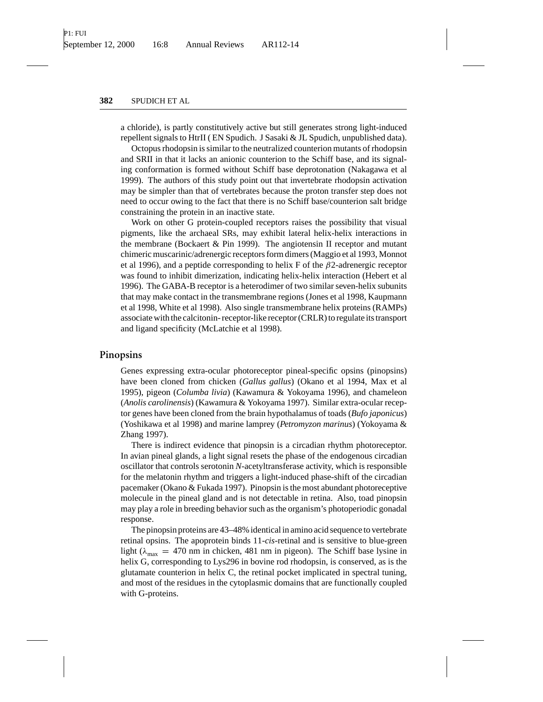a chloride), is partly constitutively active but still generates strong light-induced repellent signals to HtrII ( EN Spudich. J Sasaki & JL Spudich, unpublished data).

Octopus rhodopsin is similar to the neutralized counterion mutants of rhodopsin and SRII in that it lacks an anionic counterion to the Schiff base, and its signaling conformation is formed without Schiff base deprotonation (Nakagawa et al 1999). The authors of this study point out that invertebrate rhodopsin activation may be simpler than that of vertebrates because the proton transfer step does not need to occur owing to the fact that there is no Schiff base/counterion salt bridge constraining the protein in an inactive state.

Work on other G protein-coupled receptors raises the possibility that visual pigments, like the archaeal SRs, may exhibit lateral helix-helix interactions in the membrane (Bockaert & Pin 1999). The angiotensin II receptor and mutant chimeric muscarinic/adrenergic receptors form dimers (Maggio et al 1993, Monnot et al 1996), and a peptide corresponding to helix F of the  $\beta$ 2-adrenergic receptor was found to inhibit dimerization, indicating helix-helix interaction (Hebert et al 1996). The GABA-B receptor is a heterodimer of two similar seven-helix subunits that may make contact in the transmembrane regions (Jones et al 1998, Kaupmann et al 1998, White et al 1998). Also single transmembrane helix proteins (RAMPs) associate with the calcitonin- receptor-like receptor (CRLR) to regulate its transport and ligand specificity (McLatchie et al 1998).

### **Pinopsins**

Genes expressing extra-ocular photoreceptor pineal-specific opsins (pinopsins) have been cloned from chicken (*Gallus gallus*) (Okano et al 1994, Max et al 1995), pigeon (*Columba livia*) (Kawamura & Yokoyama 1996), and chameleon (*Anolis carolinensis*) (Kawamura & Yokoyama 1997). Similar extra-ocular receptor genes have been cloned from the brain hypothalamus of toads (*Bufo japonicus*) (Yoshikawa et al 1998) and marine lamprey (*Petromyzon marinus*) (Yokoyama & Zhang 1997).

There is indirect evidence that pinopsin is a circadian rhythm photoreceptor. In avian pineal glands, a light signal resets the phase of the endogenous circadian oscillator that controls serotonin *N*-acetyltransferase activity, which is responsible for the melatonin rhythm and triggers a light-induced phase-shift of the circadian pacemaker (Okano & Fukada 1997). Pinopsin is the most abundant photoreceptive molecule in the pineal gland and is not detectable in retina. Also, toad pinopsin may play a role in breeding behavior such as the organism's photoperiodic gonadal response.

The pinopsin proteins are 43–48% identical in amino acid sequence to vertebrate retinal opsins. The apoprotein binds 11-*cis*-retinal and is sensitive to blue-green light ( $\lambda_{\text{max}} = 470$  nm in chicken, 481 nm in pigeon). The Schiff base lysine in helix G, corresponding to Lys296 in bovine rod rhodopsin, is conserved, as is the glutamate counterion in helix C, the retinal pocket implicated in spectral tuning, and most of the residues in the cytoplasmic domains that are functionally coupled with G-proteins.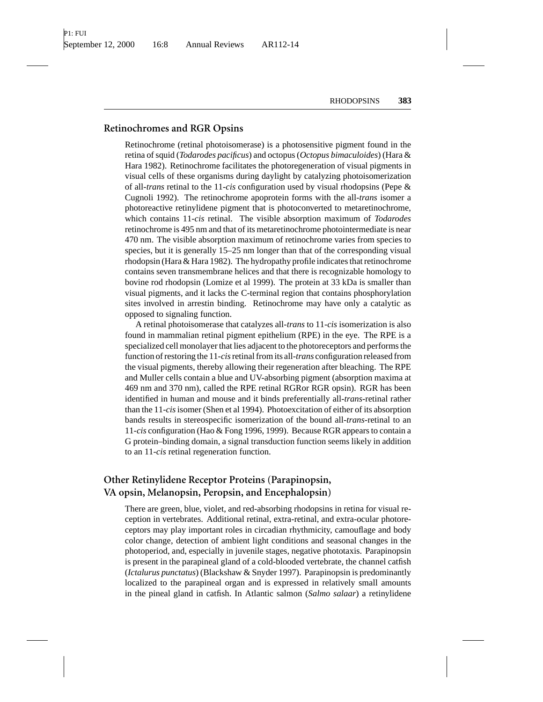# **Retinochromes and RGR Opsins**

Retinochrome (retinal photoisomerase) is a photosensitive pigment found in the retina of squid (*Todarodes pacificus*) and octopus (*Octopus bimaculoides*) (Hara & Hara 1982). Retinochrome facilitates the photoregeneration of visual pigments in visual cells of these organisms during daylight by catalyzing photoisomerization of all-*trans* retinal to the 11-*cis* configuration used by visual rhodopsins (Pepe & Cugnoli 1992). The retinochrome apoprotein forms with the all-*trans* isomer a photoreactive retinylidene pigment that is photoconverted to metaretinochrome, which contains 11-*cis* retinal. The visible absorption maximum of *Todarodes* retinochrome is 495 nm and that of its metaretinochrome photointermediate is near 470 nm. The visible absorption maximum of retinochrome varies from species to species, but it is generally 15–25 nm longer than that of the corresponding visual rhodopsin (Hara & Hara 1982). The hydropathy profile indicates that retinochrome contains seven transmembrane helices and that there is recognizable homology to bovine rod rhodopsin (Lomize et al 1999). The protein at 33 kDa is smaller than visual pigments, and it lacks the C-terminal region that contains phosphorylation sites involved in arrestin binding. Retinochrome may have only a catalytic as opposed to signaling function.

A retinal photoisomerase that catalyzes all-*trans* to 11-*cis* isomerization is also found in mammalian retinal pigment epithelium (RPE) in the eye. The RPE is a specialized cell monolayer that lies adjacent to the photoreceptors and performs the function of restoring the 11-*cis*retinal from its all-*trans* configuration released from the visual pigments, thereby allowing their regeneration after bleaching. The RPE and Muller cells contain a blue and UV-absorbing pigment (absorption maxima at 469 nm and 370 nm), called the RPE retinal RGRor RGR opsin). RGR has been identified in human and mouse and it binds preferentially all-*trans*-retinal rather than the 11-*cis*isomer (Shen et al 1994). Photoexcitation of either of its absorption bands results in stereospecific isomerization of the bound all-*trans*-retinal to an 11-*cis* configuration (Hao & Fong 1996, 1999). Because RGR appears to contain a G protein–binding domain, a signal transduction function seems likely in addition to an 11-*cis* retinal regeneration function.

# **Other Retinylidene Receptor Proteins (Parapinopsin, VA opsin, Melanopsin, Peropsin, and Encephalopsin)**

There are green, blue, violet, and red-absorbing rhodopsins in retina for visual reception in vertebrates. Additional retinal, extra-retinal, and extra-ocular photoreceptors may play important roles in circadian rhythmicity, camouflage and body color change, detection of ambient light conditions and seasonal changes in the photoperiod, and, especially in juvenile stages, negative phototaxis. Parapinopsin is present in the parapineal gland of a cold-blooded vertebrate, the channel catfish (*Ictalurus punctatus*) (Blackshaw & Snyder 1997). Parapinopsin is predominantly localized to the parapineal organ and is expressed in relatively small amounts in the pineal gland in catfish. In Atlantic salmon (*Salmo salaar*) a retinylidene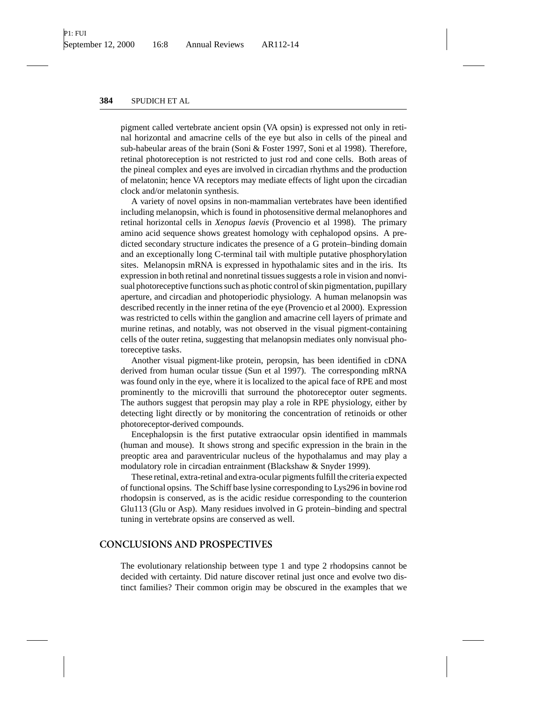pigment called vertebrate ancient opsin (VA opsin) is expressed not only in retinal horizontal and amacrine cells of the eye but also in cells of the pineal and sub-habeular areas of the brain (Soni & Foster 1997, Soni et al 1998). Therefore, retinal photoreception is not restricted to just rod and cone cells. Both areas of the pineal complex and eyes are involved in circadian rhythms and the production of melatonin; hence VA receptors may mediate effects of light upon the circadian clock and/or melatonin synthesis.

A variety of novel opsins in non-mammalian vertebrates have been identified including melanopsin, which is found in photosensitive dermal melanophores and retinal horizontal cells in *Xenopus laevis* (Provencio et al 1998). The primary amino acid sequence shows greatest homology with cephalopod opsins. A predicted secondary structure indicates the presence of a G protein–binding domain and an exceptionally long C-terminal tail with multiple putative phosphorylation sites. Melanopsin mRNA is expressed in hypothalamic sites and in the iris. Its expression in both retinal and nonretinal tissues suggests a role in vision and nonvisual photoreceptive functions such as photic control of skin pigmentation, pupillary aperture, and circadian and photoperiodic physiology. A human melanopsin was described recently in the inner retina of the eye (Provencio et al 2000). Expression was restricted to cells within the ganglion and amacrine cell layers of primate and murine retinas, and notably, was not observed in the visual pigment-containing cells of the outer retina, suggesting that melanopsin mediates only nonvisual photoreceptive tasks.

Another visual pigment-like protein, peropsin, has been identified in cDNA derived from human ocular tissue (Sun et al 1997). The corresponding mRNA was found only in the eye, where it is localized to the apical face of RPE and most prominently to the microvilli that surround the photoreceptor outer segments. The authors suggest that peropsin may play a role in RPE physiology, either by detecting light directly or by monitoring the concentration of retinoids or other photoreceptor-derived compounds.

Encephalopsin is the first putative extraocular opsin identified in mammals (human and mouse). It shows strong and specific expression in the brain in the preoptic area and paraventricular nucleus of the hypothalamus and may play a modulatory role in circadian entrainment (Blackshaw & Snyder 1999).

These retinal, extra-retinal and extra-ocular pigments fulfill the criteria expected of functional opsins. The Schiff base lysine corresponding to Lys296 in bovine rod rhodopsin is conserved, as is the acidic residue corresponding to the counterion Glu113 (Glu or Asp). Many residues involved in G protein–binding and spectral tuning in vertebrate opsins are conserved as well.

## **CONCLUSIONS AND PROSPECTIVES**

The evolutionary relationship between type 1 and type 2 rhodopsins cannot be decided with certainty. Did nature discover retinal just once and evolve two distinct families? Their common origin may be obscured in the examples that we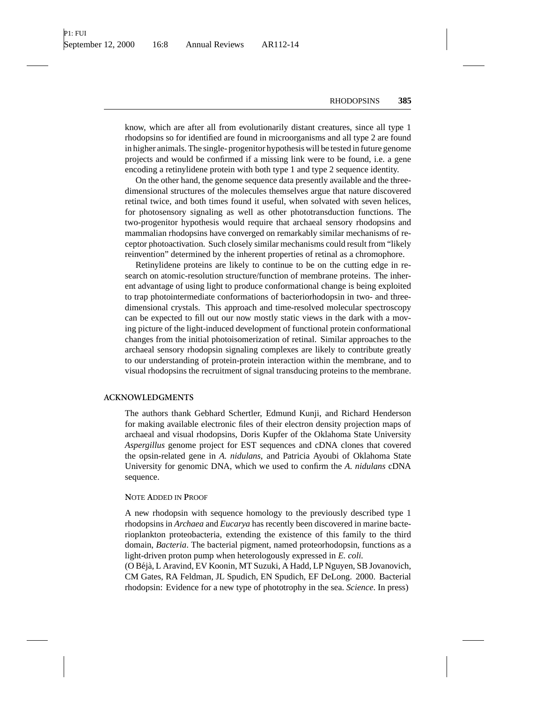know, which are after all from evolutionarily distant creatures, since all type 1 rhodopsins so for identified are found in microorganisms and all type 2 are found in higher animals. The single- progenitor hypothesis will be tested in future genome projects and would be confirmed if a missing link were to be found, i.e. a gene encoding a retinylidene protein with both type 1 and type 2 sequence identity.

On the other hand, the genome sequence data presently available and the threedimensional structures of the molecules themselves argue that nature discovered retinal twice, and both times found it useful, when solvated with seven helices, for photosensory signaling as well as other phototransduction functions. The two-progenitor hypothesis would require that archaeal sensory rhodopsins and mammalian rhodopsins have converged on remarkably similar mechanisms of receptor photoactivation. Such closely similar mechanisms could result from "likely reinvention" determined by the inherent properties of retinal as a chromophore.

Retinylidene proteins are likely to continue to be on the cutting edge in research on atomic-resolution structure/function of membrane proteins. The inherent advantage of using light to produce conformational change is being exploited to trap photointermediate conformations of bacteriorhodopsin in two- and threedimensional crystals. This approach and time-resolved molecular spectroscopy can be expected to fill out our now mostly static views in the dark with a moving picture of the light-induced development of functional protein conformational changes from the initial photoisomerization of retinal. Similar approaches to the archaeal sensory rhodopsin signaling complexes are likely to contribute greatly to our understanding of protein-protein interaction within the membrane, and to visual rhodopsins the recruitment of signal transducing proteins to the membrane.

#### **ACKNOWLEDGMENTS**

The authors thank Gebhard Schertler, Edmund Kunji, and Richard Henderson for making available electronic files of their electron density projection maps of archaeal and visual rhodopsins, Doris Kupfer of the Oklahoma State University *Aspergillus* genome project for EST sequences and cDNA clones that covered the opsin-related gene in *A. nidulans*, and Patricia Ayoubi of Oklahoma State University for genomic DNA, which we used to confirm the *A. nidulans* cDNA sequence.

#### **N**OTE **A**DDED IN **P**ROOF

A new rhodopsin with sequence homology to the previously described type 1 rhodopsins in *Archaea* and *Eucarya* has recently been discovered in marine bacterioplankton proteobacteria, extending the existence of this family to the third domain, *Bacteria*. The bacterial pigment, named proteorhodopsin, functions as a light-driven proton pump when heterologously expressed in *E. coli.*

(O B´ej`a, L Aravind, EV Koonin, MT Suzuki, A Hadd, LP Nguyen, SB Jovanovich, CM Gates, RA Feldman, JL Spudich, EN Spudich, EF DeLong. 2000. Bacterial rhodopsin: Evidence for a new type of phototrophy in the sea. *Science*. In press)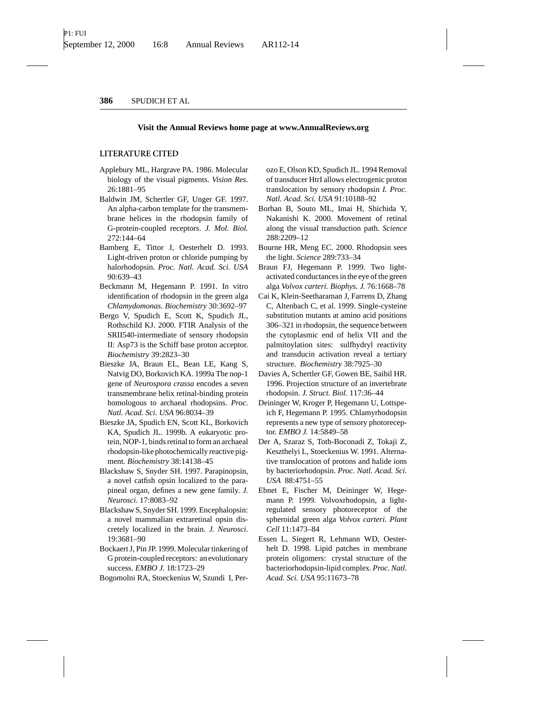#### **Visit the Annual Reviews home page at www.AnnualReviews.org**

#### **LITERATURE CITED**

- Applebury ML, Hargrave PA. 1986. Molecular biology of the visual pigments. *Vision Res.* 26:1881–95
- Baldwin JM, Schertler GF, Unger GF. 1997. An alpha-carbon template for the transmembrane helices in the rhodopsin family of G-protein-coupled receptors. *J. Mol. Biol.* 272:144–64
- Bamberg E, Tittor J, Oesterhelt D. 1993. Light-driven proton or chloride pumping by halorhodopsin. *Proc. Natl. Acad. Sci. USA* 90:639–43
- Beckmann M, Hegemann P. 1991. In vitro identification of rhodopsin in the green alga *Chlamydomonas. Biochemistry* 30:3692–97
- Bergo V, Spudich E, Scott K, Spudich JL, Rothschild KJ. 2000. FTIR Analysis of the SRII540-intermediate of sensory rhodopsin II: Asp73 is the Schiff base proton acceptor. *Biochemistry* 39:2823–30
- Bieszke JA, Braun EL, Bean LE, Kang S, Natvig DO, Borkovich KA. 1999a The nop-1 gene of *Neurospora crassa* encodes a seven transmembrane helix retinal-binding protein homologous to archaeal rhodopsins. *Proc. Natl. Acad. Sci. USA* 96:8034–39
- Bieszke JA, Spudich EN, Scott KL, Borkovich KA, Spudich JL. 1999b. A eukaryotic protein, NOP-1, binds retinal to form an archaeal rhodopsin-like photochemically reactive pigment. *Biochemistry* 38:14138–45
- Blackshaw S, Snyder SH. 1997. Parapinopsin, a novel catfish opsin localized to the parapineal organ, defines a new gene family. *J. Neurosci.* 17:8083–92
- Blackshaw S, Snyder SH. 1999. Encephalopsin: a novel mammalian extraretinal opsin discretely localized in the brain. *J. Neurosci.* 19:3681–90
- Bockaert J, Pin JP. 1999. Molecular tinkering of G protein-coupled receptors: an evolutionary success. *EMBO J.* 18:1723–29
- Bogomolni RA, Stoeckenius W, Szundi I, Per-

ozo E, Olson KD, Spudich JL. 1994 Removal of transducer HtrI allows electrogenic proton translocation by sensory rhodopsin *I. Proc. Natl. Acad. Sci. USA* 91:10188–92

- Borhan B, Souto ML, Imai H, Shichida Y, Nakanishi K. 2000. Movement of retinal along the visual transduction path. *Science* 288:2209–12
- Bourne HR, Meng EC. 2000. Rhodopsin sees the light. *Science* 289:733–34
- Braun FJ, Hegemann P. 1999. Two lightactivated conductances in the eye of the green alga *Volvox carteri. Biophys. J.* 76:1668–78
- Cai K, Klein-Seetharaman J, Farrens D, Zhang C, Altenbach C, et al. 1999. Single-cysteine substitution mutants at amino acid positions 306–321 in rhodopsin, the sequence between the cytoplasmic end of helix VII and the palmitoylation sites: sulfhydryl reactivity and transducin activation reveal a tertiary structure. *Biochemistry* 38:7925–30
- Davies A, Schertler GF, Gowen BE, Saibil HR. 1996. Projection structure of an invertebrate rhodopsin. *J. Struct. Biol.* 117:36–44
- Deininger W, Kroger P, Hegemann U, Lottspeich F, Hegemann P. 1995. Chlamyrhodopsin represents a new type of sensory photoreceptor. *EMBO J.* 14:5849–58
- Der A, Szaraz S, Toth-Boconadi Z, Tokaji Z, Keszthelyi L, Stoeckenius W. 1991. Alternative translocation of protons and halide ions by bacteriorhodopsin. *Proc. Natl. Acad. Sci. USA* 88:4751–55
- Ebnet E, Fischer M, Deininger W, Hegemann P. 1999. Volvoxrhodopsin, a lightregulated sensory photoreceptor of the spheroidal green alga *Volvox carteri. Plant Cell* 11:1473–84
- Essen L, Siegert R, Lehmann WD, Oesterhelt D. 1998. Lipid patches in membrane protein oligomers: crystal structure of the bacteriorhodopsin-lipid complex. *Proc. Natl. Acad. Sci. USA* 95:11673–78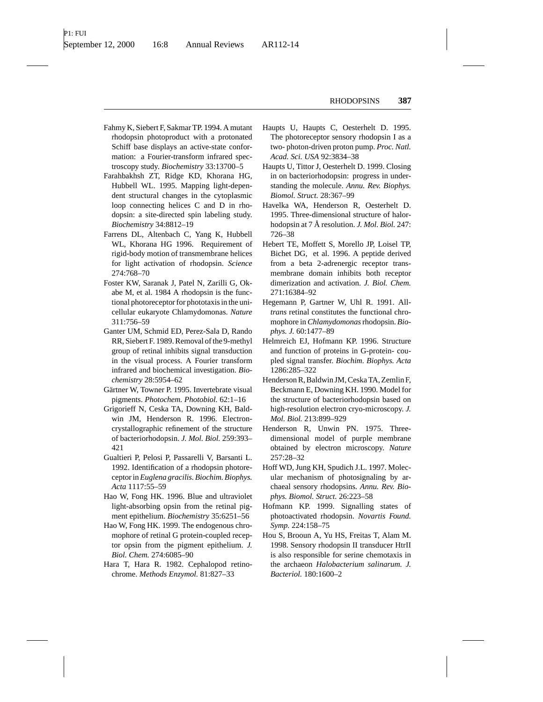- Fahmy K, Siebert F, Sakmar TP. 1994. A mutant rhodopsin photoproduct with a protonated Schiff base displays an active-state conformation: a Fourier-transform infrared spectroscopy study. *Biochemistry* 33:13700–5
- Farahbakhsh ZT, Ridge KD, Khorana HG, Hubbell WL. 1995. Mapping light-dependent structural changes in the cytoplasmic loop connecting helices C and D in rhodopsin: a site-directed spin labeling study. *Biochemistry* 34:8812–19
- Farrens DL, Altenbach C, Yang K, Hubbell WL, Khorana HG 1996. Requirement of rigid-body motion of transmembrane helices for light activation of rhodopsin. *Science* 274:768–70
- Foster KW, Saranak J, Patel N, Zarilli G, Okabe M, et al. 1984 A rhodopsin is the functional photoreceptor for phototaxis in the unicellular eukaryote Chlamydomonas. *Nature* 311:756–59
- Ganter UM, Schmid ED, Perez-Sala D, Rando RR, Siebert F. 1989. Removal of the 9-methyl group of retinal inhibits signal transduction in the visual process. A Fourier transform infrared and biochemical investigation. *Biochemistry* 28:5954–62
- Gärtner W, Towner P. 1995. Invertebrate visual pigments. *Photochem. Photobiol.* 62:1–16
- Grigorieff N, Ceska TA, Downing KH, Baldwin JM, Henderson R. 1996. Electroncrystallographic refinement of the structure of bacteriorhodopsin. *J. Mol. Biol.* 259:393– 421
- Gualtieri P, Pelosi P, Passarelli V, Barsanti L. 1992. Identification of a rhodopsin photoreceptor in*Euglena gracilis. Biochim. Biophys. Acta* 1117:55–59
- Hao W, Fong HK. 1996. Blue and ultraviolet light-absorbing opsin from the retinal pigment epithelium. *Biochemistry* 35:6251–56
- Hao W, Fong HK. 1999. The endogenous chromophore of retinal G protein-coupled receptor opsin from the pigment epithelium. *J. Biol. Chem.* 274:6085–90
- Hara T, Hara R. 1982. Cephalopod retinochrome. *Methods Enzymol.* 81:827–33
- Haupts U, Haupts C, Oesterhelt D. 1995. The photoreceptor sensory rhodopsin I as a two- photon-driven proton pump. *Proc. Natl. Acad. Sci. USA* 92:3834–38
- Haupts U, Tittor J, Oesterhelt D. 1999. Closing in on bacteriorhodopsin: progress in understanding the molecule. *Annu. Rev. Biophys. Biomol. Struct.* 28:367–99
- Havelka WA, Henderson R, Oesterhelt D. 1995. Three-dimensional structure of halorhodopsin at 7 Å resolution. *J. Mol. Biol.* 247: 726–38
- Hebert TE, Moffett S, Morello JP, Loisel TP, Bichet DG, et al. 1996. A peptide derived from a beta 2-adrenergic receptor transmembrane domain inhibits both receptor dimerization and activation. *J. Biol. Chem.* 271:16384–92
- Hegemann P, Gartner W, Uhl R. 1991. All*trans* retinal constitutes the functional chromophore in*Chlamydomonas*rhodopsin. *Biophys. J.* 60:1477–89
- Helmreich EJ, Hofmann KP. 1996. Structure and function of proteins in G-protein- coupled signal transfer. *Biochim. Biophys. Acta* 1286:285–322
- Henderson R, Baldwin JM, Ceska TA, Zemlin F, Beckmann E, Downing KH. 1990. Model for the structure of bacteriorhodopsin based on high-resolution electron cryo-microscopy. *J. Mol. Biol.* 213:899–929
- Henderson R, Unwin PN. 1975. Threedimensional model of purple membrane obtained by electron microscopy. *Nature* 257:28–32
- Hoff WD, Jung KH, Spudich J.L. 1997. Molecular mechanism of photosignaling by archaeal sensory rhodopsins. *Annu. Rev. Biophys. Biomol. Struct.* 26:223–58
- Hofmann KP. 1999. Signalling states of photoactivated rhodopsin. *Novartis Found. Symp.* 224:158–75
- Hou S, Brooun A, Yu HS, Freitas T, Alam M. 1998. Sensory rhodopsin II transducer HtrII is also responsible for serine chemotaxis in the archaeon *Halobacterium salinarum. J. Bacteriol.* 180:1600–2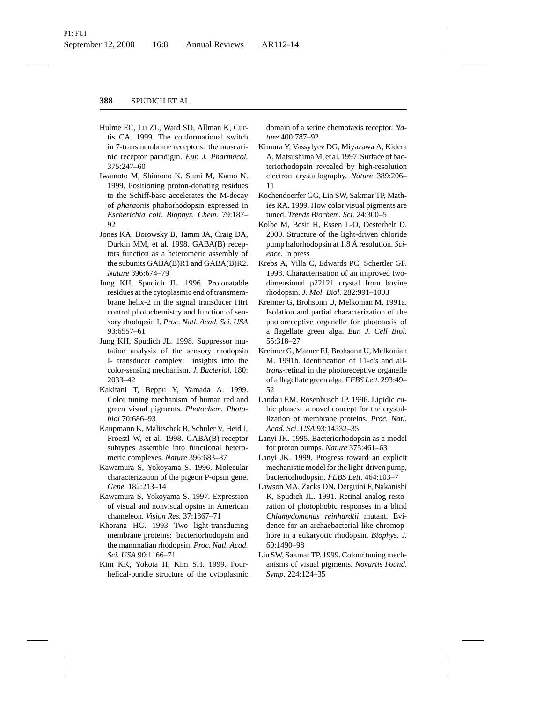- Hulme EC, Lu ZL, Ward SD, Allman K, Curtis CA. 1999. The conformational switch in 7-transmembrane receptors: the muscarinic receptor paradigm. *Eur. J. Pharmacol.* 375:247–60
- Iwamoto M, Shimono K, Sumi M, Kamo N. 1999. Positioning proton-donating residues to the Schiff-base accelerates the M-decay of *pharaonis* phoborhodopsin expressed in *Escherichia coli. Biophys. Chem.* 79:187– 92
- Jones KA, Borowsky B, Tamm JA, Craig DA, Durkin MM, et al. 1998. GABA(B) receptors function as a heteromeric assembly of the subunits GABA(B)R1 and GABA(B)R2. *Nature* 396:674–79
- Jung KH, Spudich JL. 1996. Protonatable residues at the cytoplasmic end of transmembrane helix-2 in the signal transducer HtrI control photochemistry and function of sensory rhodopsin I. *Proc. Natl. Acad. Sci. USA* 93:6557–61
- Jung KH, Spudich JL. 1998. Suppressor mutation analysis of the sensory rhodopsin I- transducer complex: insights into the color-sensing mechanism. *J. Bacteriol.* 180: 2033–42
- Kakitani T, Beppu Y, Yamada A. 1999. Color tuning mechanism of human red and green visual pigments. *Photochem. Photobiol* 70:686–93
- Kaupmann K, Malitschek B, Schuler V, Heid J, Froestl W, et al. 1998. GABA(B)-receptor subtypes assemble into functional heteromeric complexes. *Nature* 396:683–87
- Kawamura S, Yokoyama S. 1996. Molecular characterization of the pigeon P-opsin gene. *Gene* 182:213–14
- Kawamura S, Yokoyama S. 1997. Expression of visual and nonvisual opsins in American chameleon. *Vision Res.* 37:1867–71
- Khorana HG. 1993 Two light-transducing membrane proteins: bacteriorhodopsin and the mammalian rhodopsin. *Proc. Natl. Acad. Sci. USA* 90:1166–71
- Kim KK, Yokota H, Kim SH. 1999. Fourhelical-bundle structure of the cytoplasmic

domain of a serine chemotaxis receptor. *Nature* 400:787–92

- Kimura Y, Vassylyev DG, Miyazawa A, Kidera A, Matsushima M, et al. 1997. Surface of bacteriorhodopsin revealed by high-resolution electron crystallography. *Nature* 389:206– 11
- Kochendoerfer GG, Lin SW, Sakmar TP, Mathies RA. 1999. How color visual pigments are tuned. *Trends Biochem. Sci.* 24:300–5
- Kolbe M, Besir H, Essen L-O, Oesterhelt D. 2000. Structure of the light-driven chloride pump halorhodopsin at 1.8 Å resolution. Sci*ence.* In press
- Krebs A, Villa C, Edwards PC, Schertler GF. 1998. Characterisation of an improved twodimensional p22121 crystal from bovine rhodopsin. *J. Mol. Biol.* 282:991–1003
- Kreimer G, Brohsonn U, Melkonian M. 1991a. Isolation and partial characterization of the photoreceptive organelle for phototaxis of a flagellate green alga. *Eur. J. Cell Biol.* 55:318–27
- Kreimer G, Marner FJ, Brohsonn U, Melkonian M. 1991b. Identification of 11-*cis* and all*trans*-retinal in the photoreceptive organelle of a flagellate green alga. *FEBS Lett.* 293:49– 52
- Landau EM, Rosenbusch JP. 1996. Lipidic cubic phases: a novel concept for the crystallization of membrane proteins. *Proc. Natl. Acad. Sci. USA* 93:14532–35
- Lanyi JK. 1995. Bacteriorhodopsin as a model for proton pumps. *Nature* 375:461–63
- Lanyi JK. 1999. Progress toward an explicit mechanistic model for the light-driven pump, bacteriorhodopsin. *FEBS Lett.* 464:103–7
- Lawson MA, Zacks DN, Derguini F, Nakanishi K, Spudich JL. 1991. Retinal analog restoration of photophobic responses in a blind *Chlamydomonas reinhardtii* mutant. Evidence for an archaebacterial like chromophore in a eukaryotic rhodopsin. *Biophys. J.* 60:1490–98
- Lin SW, Sakmar TP. 1999. Colour tuning mechanisms of visual pigments. *Novartis Found. Symp.* 224:124–35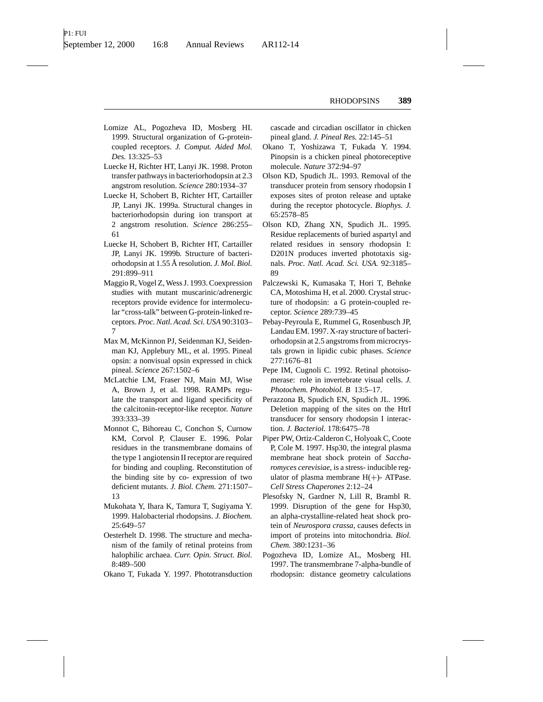- Lomize AL, Pogozheva ID, Mosberg HI. 1999. Structural organization of G-proteincoupled receptors. *J. Comput. Aided Mol. Des.* 13:325–53
- Luecke H, Richter HT, Lanyi JK. 1998. Proton transfer pathways in bacteriorhodopsin at 2.3 angstrom resolution. *Science* 280:1934–37
- Luecke H, Schobert B, Richter HT, Cartailler JP, Lanyi JK. 1999a. Structural changes in bacteriorhodopsin during ion transport at 2 angstrom resolution. *Science* 286:255– 61
- Luecke H, Schobert B, Richter HT, Cartailler JP, Lanyi JK. 1999b. Structure of bacteriorhodopsin at 1.55 Å resolution. *J. Mol. Biol.* 291:899–911
- Maggio R, Vogel Z, Wess J. 1993. Coexpression studies with mutant muscarinic/adrenergic receptors provide evidence for intermolecular "cross-talk" between G-protein-linked receptors. *Proc. Natl. Acad. Sci. USA* 90:3103– 7
- Max M, McKinnon PJ, Seidenman KJ, Seidenman KJ, Applebury ML, et al. 1995. Pineal opsin: a nonvisual opsin expressed in chick pineal. *Science* 267:1502–6
- McLatchie LM, Fraser NJ, Main MJ, Wise A, Brown J, et al. 1998. RAMPs regulate the transport and ligand specificity of the calcitonin-receptor-like receptor. *Nature* 393:333–39
- Monnot C, Bihoreau C, Conchon S, Curnow KM, Corvol P, Clauser E. 1996. Polar residues in the transmembrane domains of the type 1 angiotensin II receptor are required for binding and coupling. Reconstitution of the binding site by co- expression of two deficient mutants. *J. Biol. Chem.* 271:1507– 13
- Mukohata Y, Ihara K, Tamura T, Sugiyama Y. 1999. Halobacterial rhodopsins. *J. Biochem.* 25:649–57
- Oesterhelt D. 1998. The structure and mechanism of the family of retinal proteins from halophilic archaea. *Curr. Opin. Struct. Biol.* 8:489–500
- Okano T, Fukada Y. 1997. Phototransduction

cascade and circadian oscillator in chicken pineal gland. *J. Pineal Res.* 22:145–51

- Okano T, Yoshizawa T, Fukada Y. 1994. Pinopsin is a chicken pineal photoreceptive molecule. *Nature* 372:94–97
- Olson KD, Spudich JL. 1993. Removal of the transducer protein from sensory rhodopsin I exposes sites of proton release and uptake during the receptor photocycle. *Biophys. J.* 65:2578–85
- Olson KD, Zhang XN, Spudich JL. 1995. Residue replacements of buried aspartyl and related residues in sensory rhodopsin I: D201N produces inverted phototaxis signals. *Proc. Natl. Acad. Sci. USA.* 92:3185– 89
- Palczewski K, Kumasaka T, Hori T, Behnke CA, Motoshima H, et al. 2000. Crystal structure of rhodopsin: a G protein-coupled receptor. *Science* 289:739–45
- Pebay-Peyroula E, Rummel G, Rosenbusch JP, Landau EM. 1997. X-ray structure of bacteriorhodopsin at 2.5 angstroms from microcrystals grown in lipidic cubic phases. *Science* 277:1676–81
- Pepe IM, Cugnoli C. 1992. Retinal photoisomerase: role in invertebrate visual cells. *J. Photochem. Photobiol. B* 13:5–17.
- Perazzona B, Spudich EN, Spudich JL. 1996. Deletion mapping of the sites on the HtrI transducer for sensory rhodopsin I interaction. *J. Bacteriol.* 178:6475–78
- Piper PW, Ortiz-Calderon C, Holyoak C, Coote P, Cole M. 1997. Hsp30, the integral plasma membrane heat shock protein of *Saccharomyces cerevisiae*, is a stress- inducible regulator of plasma membrane  $H(+)$ - ATPase. *Cell Stress Chaperones* 2:12–24
- Plesofsky N, Gardner N, Lill R, Brambl R. 1999. Disruption of the gene for Hsp30, an alpha-crystalline-related heat shock protein of *Neurospora crassa*, causes defects in import of proteins into mitochondria. *Biol. Chem.* 380:1231–36
- Pogozheva ID, Lomize AL, Mosberg HI. 1997. The transmembrane 7-alpha-bundle of rhodopsin: distance geometry calculations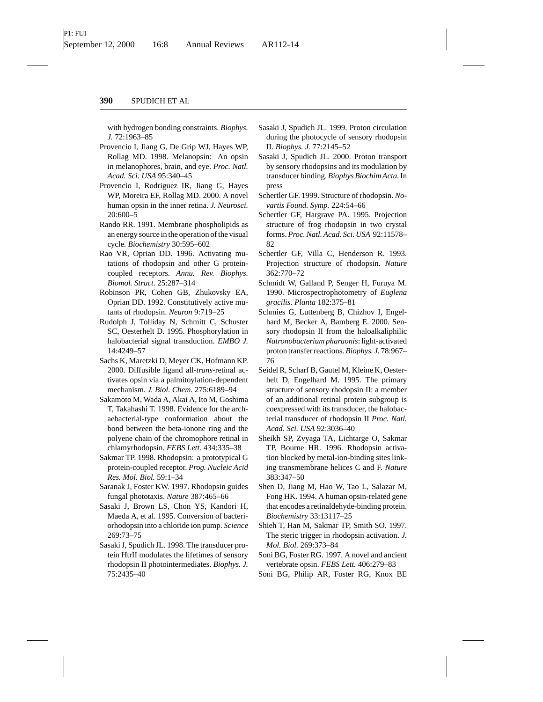with hydrogen bonding constraints. *Biophys. J.* 72:1963–85

- Provencio I, Jiang G, De Grip WJ, Hayes WP, Rollag MD. 1998. Melanopsin: An opsin in melanophores, brain, and eye. *Proc. Natl. Acad. Sci. USA* 95:340–45
- Provencio I, Rodriguez IR, Jiang G, Hayes WP, Moreira EF, Rollag MD. 2000. A novel human opsin in the inner retina. *J. Neurosci.* 20:600–5
- Rando RR. 1991. Membrane phospholipids as an energy source in the operation of the visual cycle. *Biochemistry* 30:595–602
- Rao VR, Oprian DD. 1996. Activating mutations of rhodopsin and other G proteincoupled receptors. *Annu. Rev. Biophys. Biomol. Struct.* 25:287–314
- Robinson PR, Cohen GB, Zhukovsky EA, Oprian DD. 1992. Constitutively active mutants of rhodopsin. *Neuron* 9:719–25
- Rudolph J, Tolliday N, Schmitt C, Schuster SC, Oesterhelt D. 1995. Phosphorylation in halobacterial signal transduction. *EMBO J.* 14:4249–57
- Sachs K, Maretzki D, Meyer CK, Hofmann KP. 2000. Diffusible ligand all-*trans*-retinal activates opsin via a palmitoylation-dependent mechanism. *J. Biol. Chem.* 275:6189–94
- Sakamoto M, Wada A, Akai A, Ito M, Goshima T, Takahashi T. 1998. Evidence for the archaebacterial-type conformation about the bond between the beta-ionone ring and the polyene chain of the chromophore retinal in chlamyrhodopsin. *FEBS Lett.* 434:335–38
- Sakmar TP. 1998. Rhodopsin: a prototypical G protein-coupled receptor. *Prog. Nucleic Acid Res. Mol. Biol.* 59:1–34
- Saranak J, Foster KW. 1997. Rhodopsin guides fungal phototaxis. *Nature* 387:465–66
- Sasaki J, Brown LS, Chon YS, Kandori H, Maeda A, et al. 1995. Conversion of bacteriorhodopsin into a chloride ion pump. *Science* 269:73–75
- Sasaki J, Spudich JL. 1998. The transducer protein HtrII modulates the lifetimes of sensory rhodopsin II photointermediates. *Biophys. J.* 75:2435–40
- Sasaki J, Spudich JL. 1999. Proton circulation during the photocycle of sensory rhodopsin II. *Biophys. J.* 77:2145–52
- Sasaki J, Spudich JL. 2000. Proton transport by sensory rhodopsins and its modulation by transducer binding. *Biophys Biochim Acta.*In press
- Schertler GF. 1999. Structure of rhodopsin. *Novartis Found. Symp.* 224:54–66
- Schertler GF, Hargrave PA. 1995. Projection structure of frog rhodopsin in two crystal forms. *Proc. Natl. Acad. Sci. USA* 92:11578– 82
- Schertler GF, Villa C, Henderson R. 1993. Projection structure of rhodopsin. *Nature* 362:770–72
- Schmidt W, Galland P, Senger H, Furuya M. 1990. Microspectrophotometry of *Euglena gracilis. Planta* 182:375–81
- Schmies G, Luttenberg B, Chizhov I, Engelhard M, Becker A, Bamberg E. 2000. Sensory rhodopsin II from the haloalkaliphilic *Natronobacterium pharaonis*: light-activated proton transfer reactions.*Biophys. J.* 78:967– 76
- Seidel R, Scharf B, Gautel M, Kleine K, Oesterhelt D, Engelhard M. 1995. The primary structure of sensory rhodopsin II: a member of an additional retinal protein subgroup is coexpressed with its transducer, the halobacterial transducer of rhodopsin II *Proc. Natl. Acad. Sci. USA* 92:3036–40
- Sheikh SP, Zvyaga TA, Lichtarge O, Sakmar TP, Bourne HR. 1996. Rhodopsin activation blocked by metal-ion-binding sites linking transmembrane helices C and F. *Nature* 383:347–50
- Shen D, Jiang M, Hao W, Tao L, Salazar M, Fong HK. 1994. A human opsin-related gene that encodes a retinaldehyde-binding protein. *Biochemistry* 33:13117–25
- Shieh T, Han M, Sakmar TP, Smith SO. 1997. The steric trigger in rhodopsin activation. *J. Mol. Biol.* 269:373–84
- Soni BG, Foster RG. 1997. A novel and ancient vertebrate opsin. *FEBS Lett.* 406:279–83
- Soni BG, Philip AR, Foster RG, Knox BE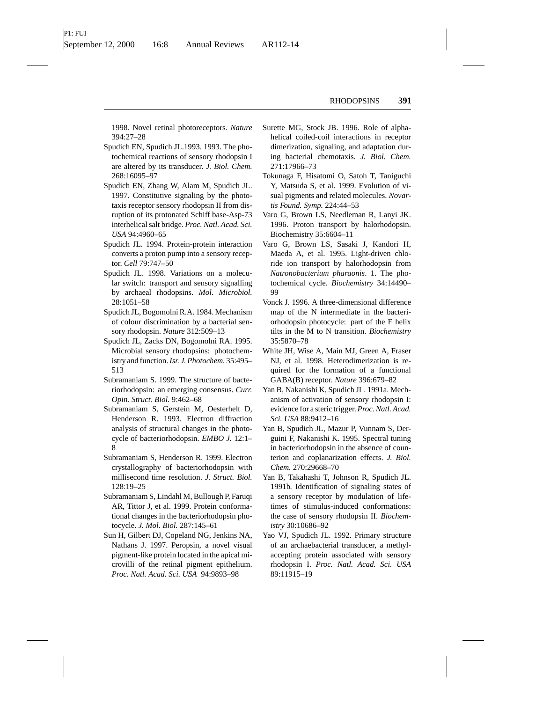1998. Novel retinal photoreceptors. *Nature* 394:27–28

- Spudich EN, Spudich JL.1993. 1993. The photochemical reactions of sensory rhodopsin I are altered by its transducer. *J. Biol. Chem.* 268:16095–97
- Spudich EN, Zhang W, Alam M, Spudich JL. 1997. Constitutive signaling by the phototaxis receptor sensory rhodopsin II from disruption of its protonated Schiff base-Asp-73 interhelical salt bridge. *Proc. Natl. Acad. Sci. USA* 94:4960–65
- Spudich JL. 1994. Protein-protein interaction converts a proton pump into a sensory receptor. *Cell* 79:747–50
- Spudich JL. 1998. Variations on a molecular switch: transport and sensory signalling by archaeal rhodopsins. *Mol. Microbiol.* 28:1051–58
- Spudich JL, Bogomolni R.A. 1984. Mechanism of colour discrimination by a bacterial sensory rhodopsin. *Nature* 312:509–13
- Spudich JL, Zacks DN, Bogomolni RA. 1995. Microbial sensory rhodopsins: photochemistry and function.*Isr. J. Photochem.* 35:495– 513
- Subramaniam S. 1999. The structure of bacteriorhodopsin: an emerging consensus. *Curr. Opin. Struct. Biol.* 9:462–68
- Subramaniam S, Gerstein M, Oesterhelt D, Henderson R. 1993. Electron diffraction analysis of structural changes in the photocycle of bacteriorhodopsin. *EMBO J.* 12:1– 8
- Subramaniam S, Henderson R. 1999. Electron crystallography of bacteriorhodopsin with millisecond time resolution. *J. Struct. Biol.* 128:19–25
- Subramaniam S, Lindahl M, Bullough P, Faruqi AR, Tittor J, et al. 1999. Protein conformational changes in the bacteriorhodopsin photocycle. *J. Mol. Biol.* 287:145–61
- Sun H, Gilbert DJ, Copeland NG, Jenkins NA, Nathans J. 1997. Peropsin, a novel visual pigment-like protein located in the apical microvilli of the retinal pigment epithelium. *Proc. Natl. Acad. Sci. USA* 94:9893–98
- Surette MG, Stock JB. 1996. Role of alphahelical coiled-coil interactions in receptor dimerization, signaling, and adaptation during bacterial chemotaxis. *J. Biol. Chem.* 271:17966–73
- Tokunaga F, Hisatomi O, Satoh T, Taniguchi Y, Matsuda S, et al. 1999. Evolution of visual pigments and related molecules. *Novartis Found. Symp.* 224:44–53
- Varo G, Brown LS, Needleman R, Lanyi JK. 1996. Proton transport by halorhodopsin. Biochemistry 35:6604–11
- Varo G, Brown LS, Sasaki J, Kandori H, Maeda A, et al. 1995. Light-driven chloride ion transport by halorhodopsin from *Natronobacterium pharaonis*. 1. The photochemical cycle. *Biochemistry* 34:14490– 99
- Vonck J. 1996. A three-dimensional difference map of the N intermediate in the bacteriorhodopsin photocycle: part of the F helix tilts in the M to N transition. *Biochemistry* 35:5870–78
- White JH, Wise A, Main MJ, Green A, Fraser NJ, et al. 1998. Heterodimerization is required for the formation of a functional GABA(B) receptor. *Nature* 396:679–82
- Yan B, Nakanishi K, Spudich JL. 1991a. Mechanism of activation of sensory rhodopsin I: evidence for a steric trigger. *Proc. Natl. Acad. Sci. USA* 88:9412–16
- Yan B, Spudich JL, Mazur P, Vunnam S, Derguini F, Nakanishi K. 1995. Spectral tuning in bacteriorhodopsin in the absence of counterion and coplanarization effects. *J. Biol. Chem.* 270:29668–70
- Yan B, Takahashi T, Johnson R, Spudich JL. 1991b. Identification of signaling states of a sensory receptor by modulation of lifetimes of stimulus-induced conformations: the case of sensory rhodopsin II. *Biochemistry* 30:10686–92
- Yao VJ, Spudich JL. 1992. Primary structure of an archaebacterial transducer, a methylaccepting protein associated with sensory rhodopsin I. *Proc. Natl. Acad. Sci. USA* 89:11915–19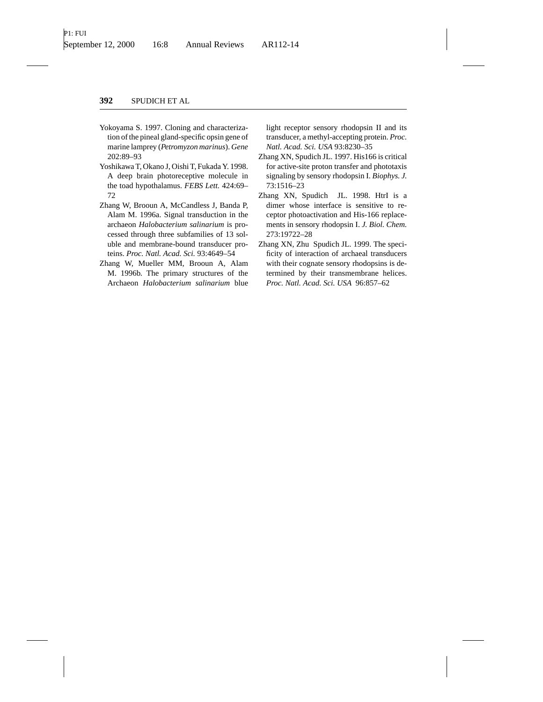- Yokoyama S. 1997. Cloning and characterization of the pineal gland-specific opsin gene of marine lamprey (*Petromyzon marinus*). *Gene* 202:89–93
- Yoshikawa T, Okano J, Oishi T, Fukada Y. 1998. A deep brain photoreceptive molecule in the toad hypothalamus. *FEBS Lett.* 424:69– 72
- Zhang W, Brooun A, McCandless J, Banda P, Alam M. 1996a. Signal transduction in the archaeon *Halobacterium salinarium* is processed through three subfamilies of 13 soluble and membrane-bound transducer proteins. *Proc. Natl. Acad. Sci.* 93:4649–54
- Zhang W, Mueller MM, Brooun A, Alam M. 1996b. The primary structures of the Archaeon *Halobacterium salinarium* blue

light receptor sensory rhodopsin II and its transducer, a methyl-accepting protein. *Proc. Natl. Acad. Sci. USA* 93:8230–35

- Zhang XN, Spudich JL. 1997. His166 is critical for active-site proton transfer and phototaxis signaling by sensory rhodopsin I. *Biophys. J.* 73:1516–23
- Zhang XN, Spudich JL. 1998. HtrI is a dimer whose interface is sensitive to receptor photoactivation and His-166 replacements in sensory rhodopsin I. *J. Biol. Chem.* 273:19722–28
- Zhang XN, Zhu Spudich JL. 1999. The specificity of interaction of archaeal transducers with their cognate sensory rhodopsins is determined by their transmembrane helices. *Proc. Natl. Acad. Sci. USA* 96:857–62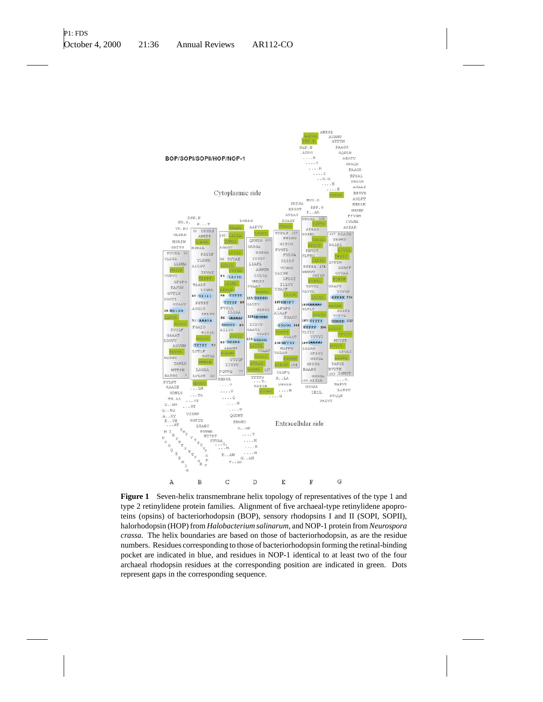

**Figure 1** Seven-helix transmembrane helix topology of representatives of the type 1 and type 2 retinylidene protein families. Alignment of five archaeal-type retinylidene apoproteins (opsins) of bacteriorhodopsin (BOP), sensory rhodopsins I and II (SOPI, SOPII), halorhodopsin (HOP) from *Halobacterium salinarum,* and NOP-1 protein from *Neurospora crassa.* The helix boundaries are based on those of bacteriorhodopsin, as are the residue numbers. Residues corresponding to those of bacteriorhodopsin forming the retinal-binding pocket are indicated in blue, and residues in NOP-1 identical to at least two of the four archaeal rhodopsin residues at the corresponding position are indicated in green. Dots represent gaps in the corresponding sequence.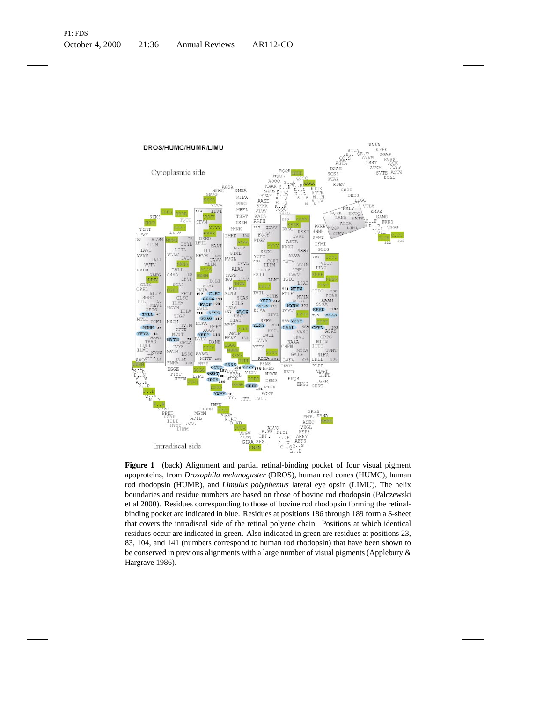

**Figure 1** (back) Alignment and partial retinal-binding pocket of four visual pigment apoproteins, from *Drosophila melanogaster* (DROS), human red cones (HUMC), human rod rhodopsin (HUMR), and *Limulus polyphemus* lateral eye opsin (LIMU). The helix boundaries and residue numbers are based on those of bovine rod rhodopsin (Palczewski et al 2000). Residues corresponding to those of bovine rod rhodopsin forming the retinalbinding pocket are indicated in blue. Residues at positions 186 through 189 form a \$-sheet that covers the intradiscal side of the retinal polyene chain. Positions at which identical residues occur are indicated in green. Also indicated in green are residues at positions 23, 83, 104, and 141 (numbers correspond to human rod rhodopsin) that have been shown to be conserved in previous alignments with a large number of visual pigments (Applebury & Hargrave 1986).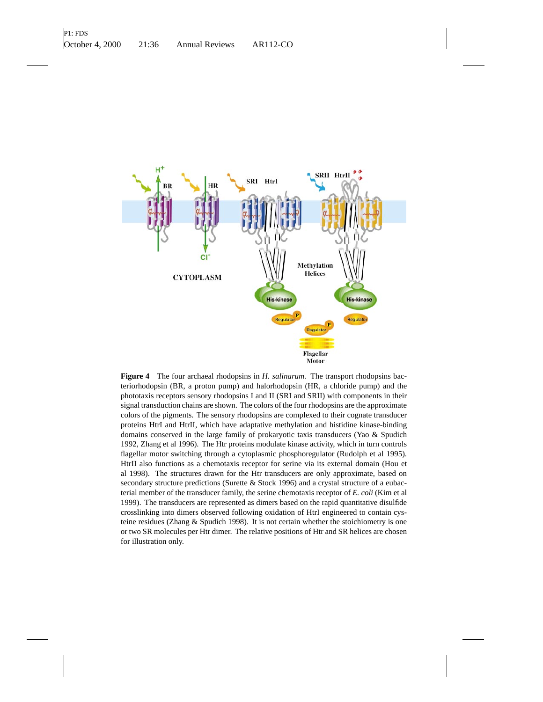

**Figure 4** The four archaeal rhodopsins in *H. salinarum.* The transport rhodopsins bacteriorhodopsin (BR, a proton pump) and halorhodopsin (HR, a chloride pump) and the phototaxis receptors sensory rhodopsins I and II (SRI and SRII) with components in their signal transduction chains are shown. The colors of the four rhodopsins are the approximate colors of the pigments. The sensory rhodopsins are complexed to their cognate transducer proteins HtrI and HtrII, which have adaptative methylation and histidine kinase-binding domains conserved in the large family of prokaryotic taxis transducers (Yao & Spudich 1992, Zhang et al 1996). The Htr proteins modulate kinase activity, which in turn controls flagellar motor switching through a cytoplasmic phosphoregulator (Rudolph et al 1995). HtrII also functions as a chemotaxis receptor for serine via its external domain (Hou et al 1998). The structures drawn for the Htr transducers are only approximate, based on secondary structure predictions (Surette & Stock 1996) and a crystal structure of a eubacterial member of the transducer family, the serine chemotaxis receptor of *E. coli* (Kim et al 1999). The transducers are represented as dimers based on the rapid quantitative disulfide crosslinking into dimers observed following oxidation of HtrI engineered to contain cysteine residues (Zhang & Spudich 1998). It is not certain whether the stoichiometry is one or two SR molecules per Htr dimer. The relative positions of Htr and SR helices are chosen for illustration only.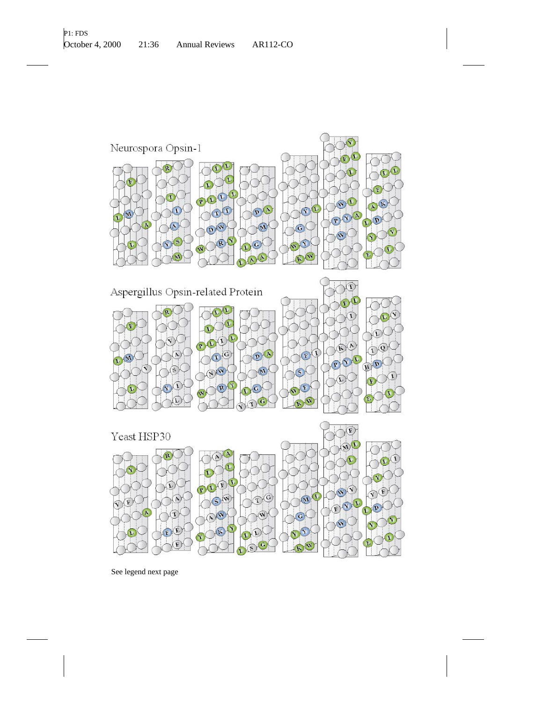



See legend next page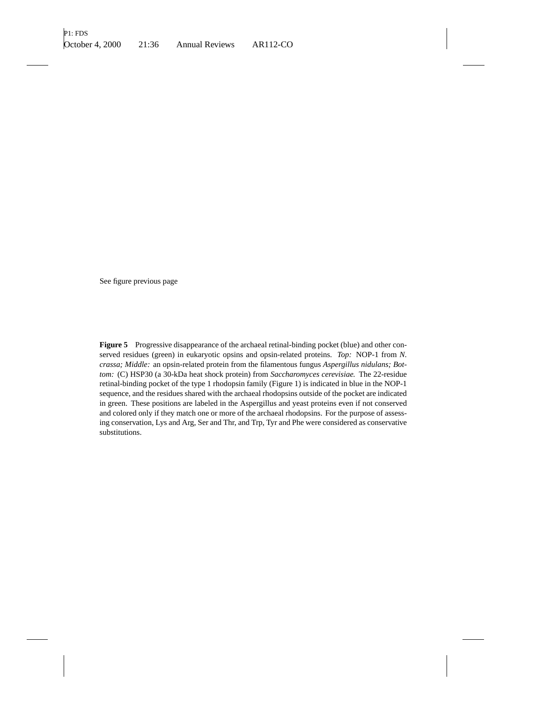See figure previous page

**Figure 5** Progressive disappearance of the archaeal retinal-binding pocket (blue) and other conserved residues (green) in eukaryotic opsins and opsin-related proteins. *Top:* NOP-1 from *N. crassa; Middle:* an opsin-related protein from the filamentous fungus *Aspergillus nidulans; Bottom:* (C) HSP30 (a 30-kDa heat shock protein) from *Saccharomyces cerevisiae.* The 22-residue retinal-binding pocket of the type 1 rhodopsin family (Figure 1) is indicated in blue in the NOP-1 sequence, and the residues shared with the archaeal rhodopsins outside of the pocket are indicated in green. These positions are labeled in the Aspergillus and yeast proteins even if not conserved and colored only if they match one or more of the archaeal rhodopsins. For the purpose of assessing conservation, Lys and Arg, Ser and Thr, and Trp, Tyr and Phe were considered as conservative substitutions.